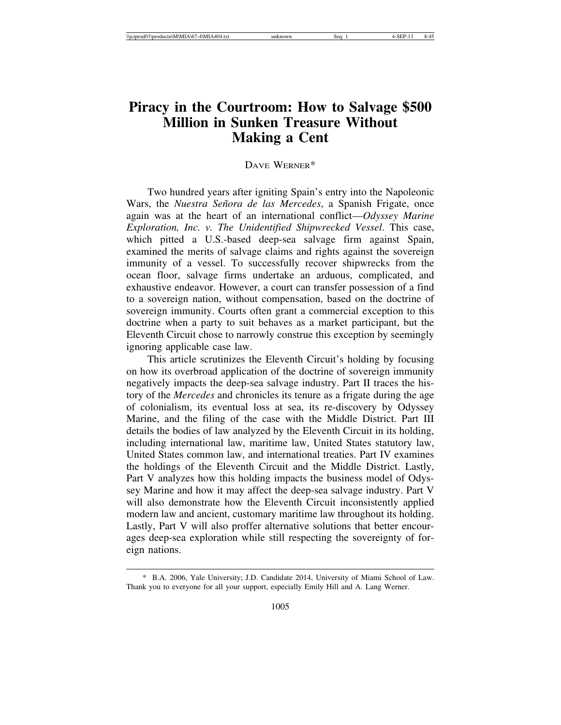# **Piracy in the Courtroom: How to Salvage \$500 Million in Sunken Treasure Without Making a Cent**

### DAVE WERNER\*

Two hundred years after igniting Spain's entry into the Napoleonic Wars, the *Nuestra Señora de las Mercedes*, a Spanish Frigate, once again was at the heart of an international conflict—*Odyssey Marine Exploration, Inc. v. The Unidentified Shipwrecked Vessel*. This case, which pitted a U.S.-based deep-sea salvage firm against Spain, examined the merits of salvage claims and rights against the sovereign immunity of a vessel. To successfully recover shipwrecks from the ocean floor, salvage firms undertake an arduous, complicated, and exhaustive endeavor. However, a court can transfer possession of a find to a sovereign nation, without compensation, based on the doctrine of sovereign immunity. Courts often grant a commercial exception to this doctrine when a party to suit behaves as a market participant, but the Eleventh Circuit chose to narrowly construe this exception by seemingly ignoring applicable case law.

This article scrutinizes the Eleventh Circuit's holding by focusing on how its overbroad application of the doctrine of sovereign immunity negatively impacts the deep-sea salvage industry. Part II traces the history of the *Mercedes* and chronicles its tenure as a frigate during the age of colonialism, its eventual loss at sea, its re-discovery by Odyssey Marine, and the filing of the case with the Middle District. Part III details the bodies of law analyzed by the Eleventh Circuit in its holding, including international law, maritime law, United States statutory law, United States common law, and international treaties. Part IV examines the holdings of the Eleventh Circuit and the Middle District. Lastly, Part V analyzes how this holding impacts the business model of Odyssey Marine and how it may affect the deep-sea salvage industry. Part V will also demonstrate how the Eleventh Circuit inconsistently applied modern law and ancient, customary maritime law throughout its holding. Lastly, Part V will also proffer alternative solutions that better encourages deep-sea exploration while still respecting the sovereignty of foreign nations.

<sup>\*</sup> B.A. 2006, Yale University; J.D. Candidate 2014, University of Miami School of Law. Thank you to everyone for all your support, especially Emily Hill and A. Lang Werner.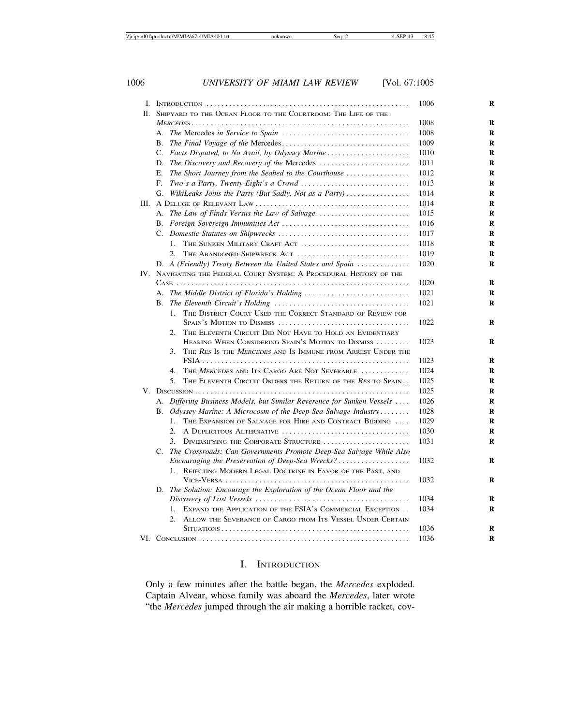|    |                                                                                        | 1006 | R |
|----|----------------------------------------------------------------------------------------|------|---|
| H. | SHIPYARD TO THE OCEAN FLOOR TO THE COURTROOM: THE LIFE OF THE                          |      |   |
|    |                                                                                        | 1008 | R |
|    |                                                                                        | 1008 | R |
|    |                                                                                        | 1009 | R |
|    | C. Facts Disputed, to No Avail, by Odyssey Marine                                      | 1010 | R |
|    | D. The Discovery and Recovery of the Mercedes                                          | 1011 | R |
|    | Е.<br>The Short Journey from the Seabed to the Courthouse                              | 1012 | R |
|    | F.                                                                                     | 1013 | R |
|    | G. WikiLeaks Joins the Party (But Sadly, Not as a Party)                               | 1014 | R |
|    |                                                                                        | 1014 | R |
|    | A. The Law of Finds Versus the Law of Salvage                                          | 1015 | R |
|    |                                                                                        | 1016 | R |
|    |                                                                                        | 1017 | R |
|    | $1_{-}$<br>THE SUNKEN MILITARY CRAFT ACT                                               | 1018 | R |
|    | THE ABANDONED SHIPWRECK ACT<br>$2^{\circ}$                                             | 1019 | R |
|    | D. A (Friendly) Treaty Between the United States and Spain $\dots\dots\dots\dots\dots$ | 1020 | R |
|    | IV. NAVIGATING THE FEDERAL COURT SYSTEM: A PROCEDURAL HISTORY OF THE                   |      |   |
|    |                                                                                        | 1020 | R |
|    | A. The Middle District of Florida's Holding                                            | 1021 | R |
|    | В.                                                                                     | 1021 | R |
|    | THE DISTRICT COURT USED THE CORRECT STANDARD OF REVIEW FOR<br>1.                       |      |   |
|    |                                                                                        | 1022 | R |
|    | THE ELEVENTH CIRCUIT DID NOT HAVE TO HOLD AN EVIDENTIARY<br>2.                         |      |   |
|    | HEARING WHEN CONSIDERING SPAIN'S MOTION TO DISMISS                                     | 1023 | R |
|    | THE RES IS THE MERCEDES AND IS IMMUNE FROM ARREST UNDER THE<br>3.                      |      |   |
|    |                                                                                        | 1023 | R |
|    | THE MERCEDES AND ITS CARGO ARE NOT SEVERABLE<br>4 <sup>1</sup>                         | 1024 | R |
|    | 5.<br>THE ELEVENTH CIRCUIT ORDERS THE RETURN OF THE RES TO SPAIN                       | 1025 | R |
|    |                                                                                        | 1025 | R |
|    | A. Differing Business Models, but Similar Reverence for Sunken Vessels                 | 1026 | R |
|    | В.<br>Odyssey Marine: A Microcosm of the Deep-Sea Salvage Industry                     | 1028 | R |
|    | THE EXPANSION OF SALVAGE FOR HIRE AND CONTRACT BIDDING<br>$1_{-}$                      | 1029 | R |
|    | $2^{\circ}$<br>A DUPLICITOUS ALTERNATIVE                                               | 1030 | R |
|    | DIVERSIFYING THE CORPORATE STRUCTURE<br>3.                                             | 1031 | R |
|    | C. The Crossroads: Can Governments Promote Deep-Sea Salvage While Also                 |      |   |
|    | Encouraging the Preservation of Deep-Sea Wrecks?                                       | 1032 | R |
|    | REJECTING MODERN LEGAL DOCTRINE IN FAVOR OF THE PAST, AND<br>1.                        |      |   |
|    |                                                                                        | 1032 | R |
|    | D. The Solution: Encourage the Exploration of the Ocean Floor and the                  | 1034 |   |
|    |                                                                                        |      | R |
|    | EXPAND THE APPLICATION OF THE FSIA'S COMMERCIAL EXCEPTION<br>1.                        | 1034 | R |
|    | 2.<br>ALLOW THE SEVERANCE OF CARGO FROM ITS VESSEL UNDER CERTAIN                       | 1036 | R |
|    |                                                                                        | 1036 | R |
|    |                                                                                        |      |   |

# I. INTRODUCTION

Only a few minutes after the battle began, the *Mercedes* exploded. Captain Alvear, whose family was aboard the *Mercedes*, later wrote "the *Mercedes* jumped through the air making a horrible racket, cov-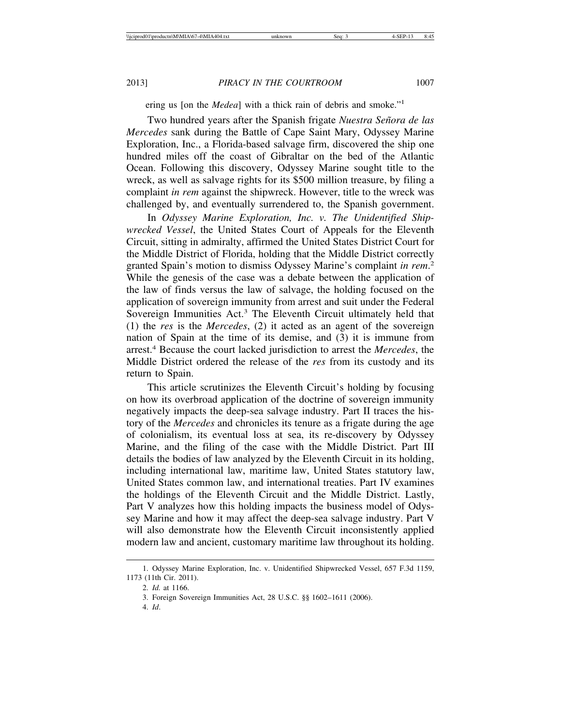ering us [on the *Medea*] with a thick rain of debris and smoke."<sup>1</sup>

Two hundred years after the Spanish frigate *Nuestra Señora de las Mercedes* sank during the Battle of Cape Saint Mary, Odyssey Marine Exploration, Inc., a Florida-based salvage firm, discovered the ship one hundred miles off the coast of Gibraltar on the bed of the Atlantic Ocean. Following this discovery, Odyssey Marine sought title to the wreck, as well as salvage rights for its \$500 million treasure, by filing a complaint *in rem* against the shipwreck. However, title to the wreck was challenged by, and eventually surrendered to, the Spanish government.

In *Odyssey Marine Exploration, Inc. v. The Unidentified Shipwrecked Vessel*, the United States Court of Appeals for the Eleventh Circuit, sitting in admiralty, affirmed the United States District Court for the Middle District of Florida, holding that the Middle District correctly granted Spain's motion to dismiss Odyssey Marine's complaint *in rem*. 2 While the genesis of the case was a debate between the application of the law of finds versus the law of salvage, the holding focused on the application of sovereign immunity from arrest and suit under the Federal Sovereign Immunities Act.<sup>3</sup> The Eleventh Circuit ultimately held that (1) the *res* is the *Mercedes*, (2) it acted as an agent of the sovereign nation of Spain at the time of its demise, and (3) it is immune from arrest.<sup>4</sup> Because the court lacked jurisdiction to arrest the *Mercedes*, the Middle District ordered the release of the *res* from its custody and its return to Spain.

This article scrutinizes the Eleventh Circuit's holding by focusing on how its overbroad application of the doctrine of sovereign immunity negatively impacts the deep-sea salvage industry. Part II traces the history of the *Mercedes* and chronicles its tenure as a frigate during the age of colonialism, its eventual loss at sea, its re-discovery by Odyssey Marine, and the filing of the case with the Middle District. Part III details the bodies of law analyzed by the Eleventh Circuit in its holding, including international law, maritime law, United States statutory law, United States common law, and international treaties. Part IV examines the holdings of the Eleventh Circuit and the Middle District. Lastly, Part V analyzes how this holding impacts the business model of Odyssey Marine and how it may affect the deep-sea salvage industry. Part V will also demonstrate how the Eleventh Circuit inconsistently applied modern law and ancient, customary maritime law throughout its holding.

<sup>1.</sup> Odyssey Marine Exploration, Inc. v. Unidentified Shipwrecked Vessel, 657 F.3d 1159, 1173 (11th Cir. 2011).

<sup>2.</sup> *Id.* at 1166.

<sup>3.</sup> Foreign Sovereign Immunities Act, 28 U.S.C. §§ 1602–1611 (2006).

<sup>4.</sup> *Id*.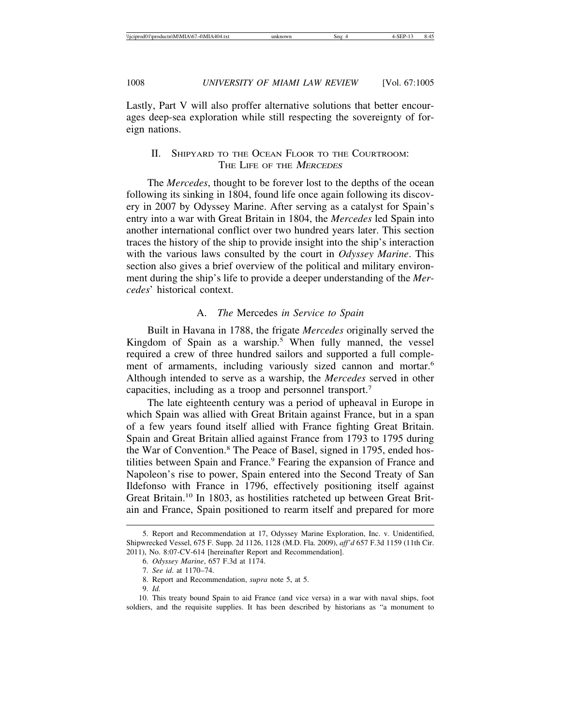Lastly, Part V will also proffer alternative solutions that better encourages deep-sea exploration while still respecting the sovereignty of foreign nations.

# II. SHIPYARD TO THE OCEAN FLOOR TO THE COURTROOM: THE LIFE OF THE MERCEDES

The *Mercedes*, thought to be forever lost to the depths of the ocean following its sinking in 1804, found life once again following its discovery in 2007 by Odyssey Marine. After serving as a catalyst for Spain's entry into a war with Great Britain in 1804, the *Mercedes* led Spain into another international conflict over two hundred years later. This section traces the history of the ship to provide insight into the ship's interaction with the various laws consulted by the court in *Odyssey Marine*. This section also gives a brief overview of the political and military environment during the ship's life to provide a deeper understanding of the *Mercedes*' historical context.

### A. *The* Mercedes *in Service to Spain*

Built in Havana in 1788, the frigate *Mercedes* originally served the Kingdom of Spain as a warship.<sup>5</sup> When fully manned, the vessel required a crew of three hundred sailors and supported a full complement of armaments, including variously sized cannon and mortar.<sup>6</sup> Although intended to serve as a warship, the *Mercedes* served in other capacities, including as a troop and personnel transport.7

The late eighteenth century was a period of upheaval in Europe in which Spain was allied with Great Britain against France, but in a span of a few years found itself allied with France fighting Great Britain. Spain and Great Britain allied against France from 1793 to 1795 during the War of Convention.<sup>8</sup> The Peace of Basel, signed in 1795, ended hostilities between Spain and France.<sup>9</sup> Fearing the expansion of France and Napoleon's rise to power, Spain entered into the Second Treaty of San Ildefonso with France in 1796, effectively positioning itself against Great Britain.10 In 1803, as hostilities ratcheted up between Great Britain and France, Spain positioned to rearm itself and prepared for more

<sup>5.</sup> Report and Recommendation at 17, Odyssey Marine Exploration, Inc. v. Unidentified, Shipwrecked Vessel, 675 F. Supp. 2d 1126, 1128 (M.D. Fla. 2009), *aff'd* 657 F.3d 1159 (11th Cir. 2011), No. 8:07-CV-614 [hereinafter Report and Recommendation].

<sup>6.</sup> *Odyssey Marine*, 657 F.3d at 1174.

<sup>7.</sup> *See id*. at 1170–74.

<sup>8.</sup> Report and Recommendation, *supra* note 5, at 5.

<sup>9.</sup> *Id.*

<sup>10.</sup> This treaty bound Spain to aid France (and vice versa) in a war with naval ships, foot soldiers, and the requisite supplies. It has been described by historians as "a monument to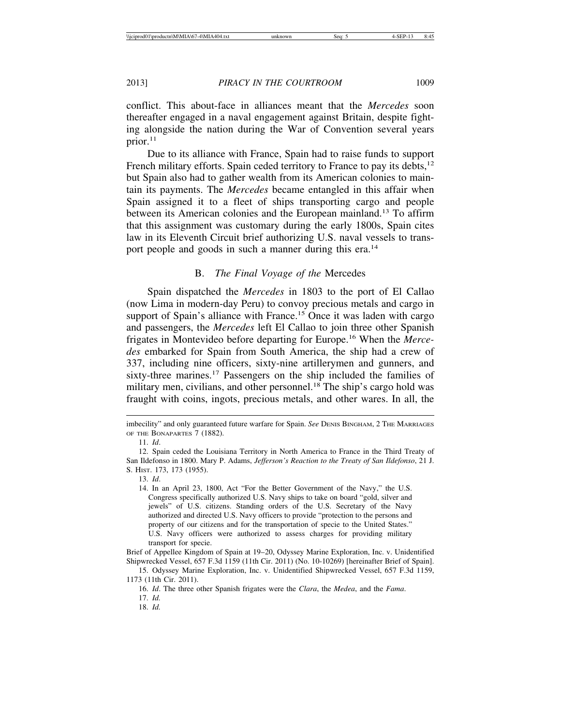conflict. This about-face in alliances meant that the *Mercedes* soon thereafter engaged in a naval engagement against Britain, despite fighting alongside the nation during the War of Convention several years prior.<sup>11</sup>

Due to its alliance with France, Spain had to raise funds to support French military efforts. Spain ceded territory to France to pay its debts,<sup>12</sup> but Spain also had to gather wealth from its American colonies to maintain its payments. The *Mercedes* became entangled in this affair when Spain assigned it to a fleet of ships transporting cargo and people between its American colonies and the European mainland.<sup>13</sup> To affirm that this assignment was customary during the early 1800s, Spain cites law in its Eleventh Circuit brief authorizing U.S. naval vessels to transport people and goods in such a manner during this era.<sup>14</sup>

### B. *The Final Voyage of the* Mercedes

Spain dispatched the *Mercedes* in 1803 to the port of El Callao (now Lima in modern-day Peru) to convoy precious metals and cargo in support of Spain's alliance with France.<sup>15</sup> Once it was laden with cargo and passengers, the *Mercedes* left El Callao to join three other Spanish frigates in Montevideo before departing for Europe.16 When the *Mercedes* embarked for Spain from South America, the ship had a crew of 337, including nine officers, sixty-nine artillerymen and gunners, and sixty-three marines.<sup>17</sup> Passengers on the ship included the families of military men, civilians, and other personnel.<sup>18</sup> The ship's cargo hold was fraught with coins, ingots, precious metals, and other wares. In all, the

imbecility" and only guaranteed future warfare for Spain. *See* DENIS BINGHAM, 2 THE MARRIAGES OF THE BONAPARTES 7 (1882).

<sup>11.</sup> *Id*.

<sup>12.</sup> Spain ceded the Louisiana Territory in North America to France in the Third Treaty of San Ildefonso in 1800. Mary P. Adams, *Jefferson's Reaction to the Treaty of San Ildefonso*, 21 J. S. HIST. 173, 173 (1955).

<sup>13.</sup> *Id*.

<sup>14.</sup> In an April 23, 1800, Act "For the Better Government of the Navy," the U.S. Congress specifically authorized U.S. Navy ships to take on board "gold, silver and jewels" of U.S. citizens. Standing orders of the U.S. Secretary of the Navy authorized and directed U.S. Navy officers to provide "protection to the persons and property of our citizens and for the transportation of specie to the United States." U.S. Navy officers were authorized to assess charges for providing military transport for specie.

Brief of Appellee Kingdom of Spain at 19–20, Odyssey Marine Exploration, Inc. v. Unidentified Shipwrecked Vessel, 657 F.3d 1159 (11th Cir. 2011) (No. 10-10269) [hereinafter Brief of Spain].

<sup>15.</sup> Odyssey Marine Exploration, Inc. v. Unidentified Shipwrecked Vessel, 657 F.3d 1159, 1173 (11th Cir. 2011).

<sup>16.</sup> *Id*. The three other Spanish frigates were the *Clara*, the *Medea*, and the *Fama*.

<sup>17.</sup> *Id.*

<sup>18.</sup> *Id.*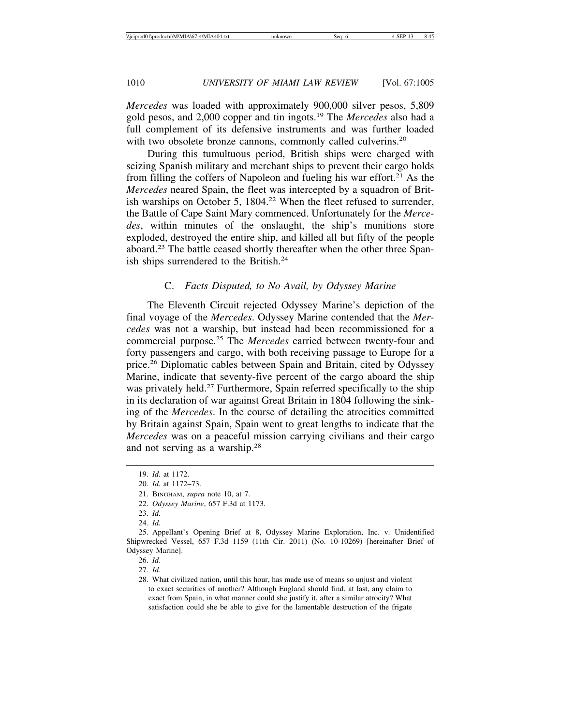*Mercedes* was loaded with approximately 900,000 silver pesos, 5,809 gold pesos, and 2,000 copper and tin ingots.19 The *Mercedes* also had a full complement of its defensive instruments and was further loaded with two obsolete bronze cannons, commonly called culverins.<sup>20</sup>

During this tumultuous period, British ships were charged with seizing Spanish military and merchant ships to prevent their cargo holds from filling the coffers of Napoleon and fueling his war effort.<sup>21</sup> As the *Mercedes* neared Spain, the fleet was intercepted by a squadron of British warships on October 5, 1804.<sup>22</sup> When the fleet refused to surrender, the Battle of Cape Saint Mary commenced. Unfortunately for the *Mercedes*, within minutes of the onslaught, the ship's munitions store exploded, destroyed the entire ship, and killed all but fifty of the people aboard.<sup>23</sup> The battle ceased shortly thereafter when the other three Spanish ships surrendered to the British.24

### C. *Facts Disputed, to No Avail, by Odyssey Marine*

The Eleventh Circuit rejected Odyssey Marine's depiction of the final voyage of the *Mercedes*. Odyssey Marine contended that the *Mercedes* was not a warship, but instead had been recommissioned for a commercial purpose.25 The *Mercedes* carried between twenty-four and forty passengers and cargo, with both receiving passage to Europe for a price.26 Diplomatic cables between Spain and Britain, cited by Odyssey Marine, indicate that seventy-five percent of the cargo aboard the ship was privately held.<sup>27</sup> Furthermore, Spain referred specifically to the ship in its declaration of war against Great Britain in 1804 following the sinking of the *Mercedes*. In the course of detailing the atrocities committed by Britain against Spain, Spain went to great lengths to indicate that the *Mercedes* was on a peaceful mission carrying civilians and their cargo and not serving as a warship.28

<sup>19.</sup> *Id.* at 1172.

<sup>20.</sup> *Id.* at 1172–73.

<sup>21.</sup> BINGHAM, *supra* note 10, at 7.

<sup>22.</sup> *Odyssey Marine*, 657 F.3d at 1173.

<sup>23.</sup> *Id.*

<sup>24.</sup> *Id.*

<sup>25.</sup> Appellant's Opening Brief at 8, Odyssey Marine Exploration, Inc. v. Unidentified Shipwrecked Vessel, 657 F.3d 1159 (11th Cir. 2011) (No. 10-10269) [hereinafter Brief of Odyssey Marine].

<sup>26.</sup> *Id*.

<sup>27.</sup> *Id*.

<sup>28.</sup> What civilized nation, until this hour, has made use of means so unjust and violent to exact securities of another? Although England should find, at last, any claim to exact from Spain, in what manner could she justify it, after a similar atrocity? What satisfaction could she be able to give for the lamentable destruction of the frigate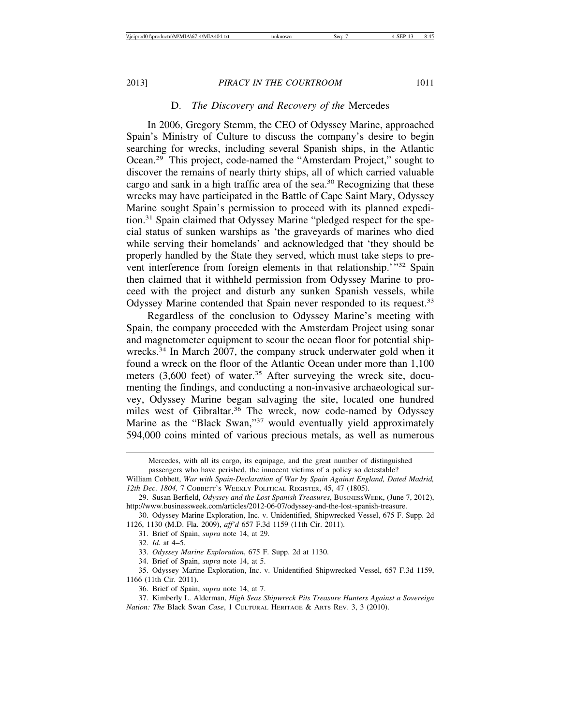### D. *The Discovery and Recovery of the* Mercedes

In 2006, Gregory Stemm, the CEO of Odyssey Marine, approached Spain's Ministry of Culture to discuss the company's desire to begin searching for wrecks, including several Spanish ships, in the Atlantic Ocean.29 This project, code-named the "Amsterdam Project," sought to discover the remains of nearly thirty ships, all of which carried valuable cargo and sank in a high traffic area of the sea.30 Recognizing that these wrecks may have participated in the Battle of Cape Saint Mary, Odyssey Marine sought Spain's permission to proceed with its planned expedition.31 Spain claimed that Odyssey Marine "pledged respect for the special status of sunken warships as 'the graveyards of marines who died while serving their homelands' and acknowledged that 'they should be properly handled by the State they served, which must take steps to prevent interference from foreign elements in that relationship.'"<sup>32</sup> Spain then claimed that it withheld permission from Odyssey Marine to proceed with the project and disturb any sunken Spanish vessels, while Odyssey Marine contended that Spain never responded to its request.<sup>33</sup>

Regardless of the conclusion to Odyssey Marine's meeting with Spain, the company proceeded with the Amsterdam Project using sonar and magnetometer equipment to scour the ocean floor for potential shipwrecks.34 In March 2007, the company struck underwater gold when it found a wreck on the floor of the Atlantic Ocean under more than 1,100 meters (3,600 feet) of water.<sup>35</sup> After surveying the wreck site, documenting the findings, and conducting a non-invasive archaeological survey, Odyssey Marine began salvaging the site, located one hundred miles west of Gibraltar.<sup>36</sup> The wreck, now code-named by Odyssey Marine as the "Black Swan,"37 would eventually yield approximately 594,000 coins minted of various precious metals, as well as numerous

Mercedes, with all its cargo, its equipage, and the great number of distinguished passengers who have perished, the innocent victims of a policy so detestable?

William Cobbett, *War with Spain-Declaration of War by Spain Against England, Dated Madrid, 12th Dec. 1804,* 7 COBBETT'S WEEKLY POLITICAL REGISTER, 45, 47 (1805).

<sup>29.</sup> Susan Berfield, *Odyssey and the Lost Spanish Treasures*, BUSINESSWEEK, (June 7, 2012), http://www.businessweek.com/articles/2012-06-07/odyssey-and-the-lost-spanish-treasure.

<sup>30.</sup> Odyssey Marine Exploration, Inc. v. Unidentified, Shipwrecked Vessel, 675 F. Supp. 2d 1126, 1130 (M.D. Fla. 2009), *aff'd* 657 F.3d 1159 (11th Cir. 2011).

<sup>31.</sup> Brief of Spain, *supra* note 14, at 29.

<sup>32.</sup> *Id.* at 4–5.

<sup>33.</sup> *Odyssey Marine Exploration*, 675 F. Supp. 2d at 1130.

<sup>34.</sup> Brief of Spain, *supra* note 14, at 5.

<sup>35.</sup> Odyssey Marine Exploration, Inc. v. Unidentified Shipwrecked Vessel, 657 F.3d 1159, 1166 (11th Cir. 2011).

<sup>36.</sup> Brief of Spain, *supra* note 14, at 7.

<sup>37.</sup> Kimberly L. Alderman, *High Seas Shipwreck Pits Treasure Hunters Against a Sovereign Nation: The* Black Swan *Case*, 1 CULTURAL HERITAGE & ARTS REV. 3, 3 (2010).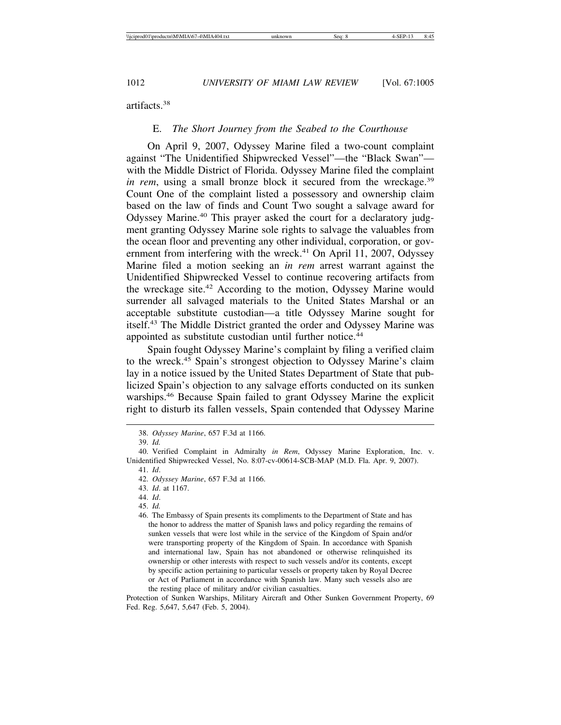artifacts.38

### E. *The Short Journey from the Seabed to the Courthouse*

On April 9, 2007, Odyssey Marine filed a two-count complaint against "The Unidentified Shipwrecked Vessel"—the "Black Swan" with the Middle District of Florida. Odyssey Marine filed the complaint *in rem*, using a small bronze block it secured from the wreckage.<sup>39</sup> Count One of the complaint listed a possessory and ownership claim based on the law of finds and Count Two sought a salvage award for Odyssey Marine.<sup>40</sup> This prayer asked the court for a declaratory judgment granting Odyssey Marine sole rights to salvage the valuables from the ocean floor and preventing any other individual, corporation, or government from interfering with the wreck.<sup>41</sup> On April 11, 2007, Odyssey Marine filed a motion seeking an *in rem* arrest warrant against the Unidentified Shipwrecked Vessel to continue recovering artifacts from the wreckage site.42 According to the motion, Odyssey Marine would surrender all salvaged materials to the United States Marshal or an acceptable substitute custodian—a title Odyssey Marine sought for itself.43 The Middle District granted the order and Odyssey Marine was appointed as substitute custodian until further notice.<sup>44</sup>

Spain fought Odyssey Marine's complaint by filing a verified claim to the wreck.45 Spain's strongest objection to Odyssey Marine's claim lay in a notice issued by the United States Department of State that publicized Spain's objection to any salvage efforts conducted on its sunken warships.46 Because Spain failed to grant Odyssey Marine the explicit right to disturb its fallen vessels, Spain contended that Odyssey Marine

<sup>38.</sup> *Odyssey Marine*, 657 F.3d at 1166.

<sup>39.</sup> *Id.*

<sup>40.</sup> Verified Complaint in Admiralty *in Rem*, Odyssey Marine Exploration, Inc. v. Unidentified Shipwrecked Vessel, No. 8:07-cv-00614-SCB-MAP (M.D. Fla. Apr. 9, 2007).

<sup>41.</sup> *Id*.

<sup>42.</sup> *Odyssey Marine*, 657 F.3d at 1166.

<sup>43.</sup> *Id*. at 1167.

<sup>44.</sup> *Id*.

<sup>45.</sup> *Id.*

<sup>46.</sup> The Embassy of Spain presents its compliments to the Department of State and has the honor to address the matter of Spanish laws and policy regarding the remains of sunken vessels that were lost while in the service of the Kingdom of Spain and/or were transporting property of the Kingdom of Spain. In accordance with Spanish and international law, Spain has not abandoned or otherwise relinquished its ownership or other interests with respect to such vessels and/or its contents, except by specific action pertaining to particular vessels or property taken by Royal Decree or Act of Parliament in accordance with Spanish law. Many such vessels also are the resting place of military and/or civilian casualties.

Protection of Sunken Warships, Military Aircraft and Other Sunken Government Property, 69 Fed. Reg. 5,647, 5,647 (Feb. 5, 2004).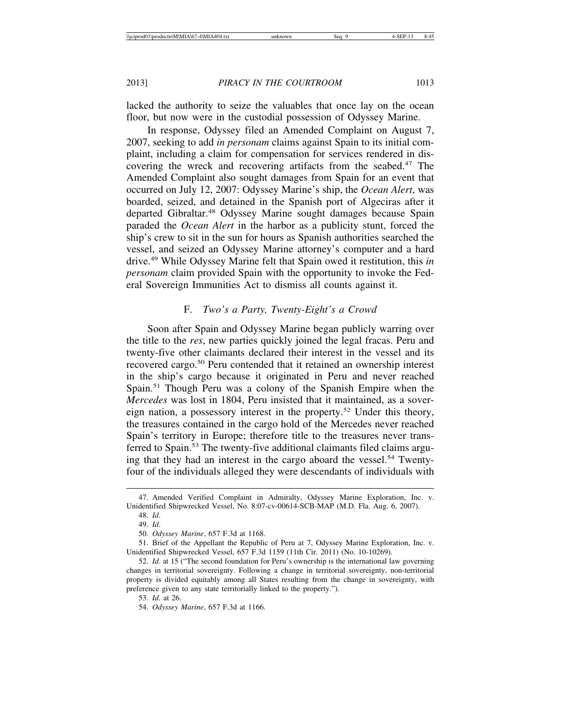lacked the authority to seize the valuables that once lay on the ocean floor, but now were in the custodial possession of Odyssey Marine.

In response, Odyssey filed an Amended Complaint on August 7, 2007, seeking to add *in personam* claims against Spain to its initial complaint, including a claim for compensation for services rendered in discovering the wreck and recovering artifacts from the seabed.<sup>47</sup> The Amended Complaint also sought damages from Spain for an event that occurred on July 12, 2007: Odyssey Marine's ship, the *Ocean Alert*, was boarded, seized, and detained in the Spanish port of Algeciras after it departed Gibraltar.48 Odyssey Marine sought damages because Spain paraded the *Ocean Alert* in the harbor as a publicity stunt, forced the ship's crew to sit in the sun for hours as Spanish authorities searched the vessel, and seized an Odyssey Marine attorney's computer and a hard drive.49 While Odyssey Marine felt that Spain owed it restitution, this *in personam* claim provided Spain with the opportunity to invoke the Federal Sovereign Immunities Act to dismiss all counts against it.

### F. *Two's a Party, Twenty-Eight's a Crowd*

Soon after Spain and Odyssey Marine began publicly warring over the title to the *res*, new parties quickly joined the legal fracas. Peru and twenty-five other claimants declared their interest in the vessel and its recovered cargo.<sup>50</sup> Peru contended that it retained an ownership interest in the ship's cargo because it originated in Peru and never reached Spain.<sup>51</sup> Though Peru was a colony of the Spanish Empire when the *Mercedes* was lost in 1804, Peru insisted that it maintained, as a sovereign nation, a possessory interest in the property.52 Under this theory, the treasures contained in the cargo hold of the Mercedes never reached Spain's territory in Europe; therefore title to the treasures never transferred to Spain.<sup>53</sup> The twenty-five additional claimants filed claims arguing that they had an interest in the cargo aboard the vessel.<sup>54</sup> Twentyfour of the individuals alleged they were descendants of individuals with

<sup>47.</sup> Amended Verified Complaint in Admiralty, Odyssey Marine Exploration, Inc. v. Unidentified Shipwrecked Vessel, No. 8:07-cv-00614-SCB-MAP (M.D. Fla. Aug. 6, 2007).

<sup>48.</sup> *Id*.

<sup>49.</sup> *Id*.

<sup>50.</sup> *Odyssey Marine*, 657 F.3d at 1168.

<sup>51.</sup> Brief of the Appellant the Republic of Peru at 7, Odyssey Marine Exploration, Inc. v. Unidentified Shipwrecked Vessel, 657 F.3d 1159 (11th Cir. 2011) (No. 10-10269).

<sup>52.</sup> *Id*. at 15 ("The second foundation for Peru's ownership is the international law governing changes in territorial sovereignty. Following a change in territorial sovereignty, non-territorial property is divided equitably among all States resulting from the change in sovereignty, with preference given to any state territorially linked to the property.").

<sup>53.</sup> *Id.* at 26.

<sup>54.</sup> *Odyssey Marine*, 657 F.3d at 1166.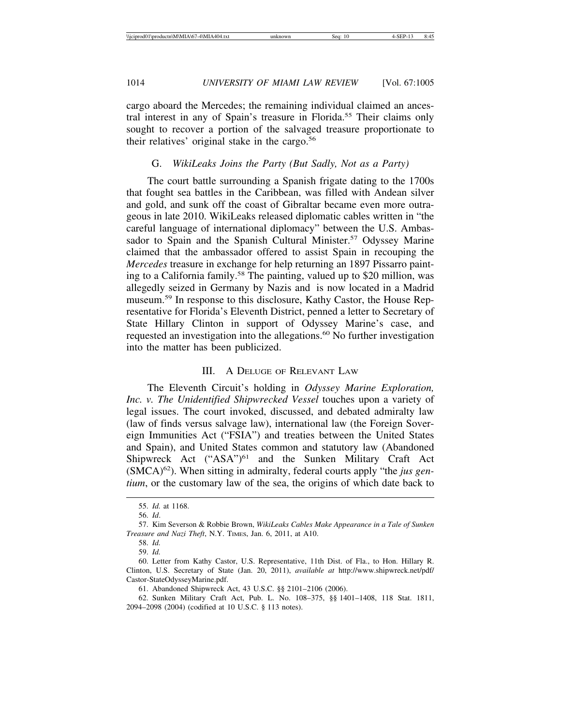cargo aboard the Mercedes; the remaining individual claimed an ancestral interest in any of Spain's treasure in Florida.55 Their claims only sought to recover a portion of the salvaged treasure proportionate to their relatives' original stake in the cargo.<sup>56</sup>

### G. *WikiLeaks Joins the Party (But Sadly, Not as a Party)*

The court battle surrounding a Spanish frigate dating to the 1700s that fought sea battles in the Caribbean, was filled with Andean silver and gold, and sunk off the coast of Gibraltar became even more outrageous in late 2010. WikiLeaks released diplomatic cables written in "the careful language of international diplomacy" between the U.S. Ambassador to Spain and the Spanish Cultural Minister.<sup>57</sup> Odyssey Marine claimed that the ambassador offered to assist Spain in recouping the *Mercedes* treasure in exchange for help returning an 1897 Pissarro painting to a California family.<sup>58</sup> The painting, valued up to \$20 million, was allegedly seized in Germany by Nazis and is now located in a Madrid museum.59 In response to this disclosure, Kathy Castor, the House Representative for Florida's Eleventh District, penned a letter to Secretary of State Hillary Clinton in support of Odyssey Marine's case, and requested an investigation into the allegations.<sup>60</sup> No further investigation into the matter has been publicized.

#### III. A DELUGE OF RELEVANT LAW

The Eleventh Circuit's holding in *Odyssey Marine Exploration, Inc. v. The Unidentified Shipwrecked Vessel* touches upon a variety of legal issues. The court invoked, discussed, and debated admiralty law (law of finds versus salvage law), international law (the Foreign Sovereign Immunities Act ("FSIA") and treaties between the United States and Spain), and United States common and statutory law (Abandoned Shipwreck Act ("ASA")<sup>61</sup> and the Sunken Military Craft Act (SMCA)62). When sitting in admiralty, federal courts apply "the *jus gentium*, or the customary law of the sea, the origins of which date back to

61. Abandoned Shipwreck Act, 43 U.S.C. §§ 2101–2106 (2006).

<sup>55.</sup> *Id.* at 1168.

<sup>56.</sup> *Id*.

<sup>57.</sup> Kim Severson & Robbie Brown, *WikiLeaks Cables Make Appearance in a Tale of Sunken Treasure and Nazi Theft*, N.Y. TIMES, Jan. 6, 2011, at A10.

<sup>58.</sup> *Id.*

<sup>59.</sup> *Id.*

<sup>60.</sup> Letter from Kathy Castor, U.S. Representative, 11th Dist. of Fla., to Hon. Hillary R. Clinton, U.S. Secretary of State (Jan. 20, 2011), *available at* http://www.shipwreck.net/pdf/ Castor-StateOdysseyMarine.pdf.

<sup>62.</sup> Sunken Military Craft Act, Pub. L. No. 108–375, §§ 1401–1408, 118 Stat. 1811, 2094–2098 (2004) (codified at 10 U.S.C. § 113 notes).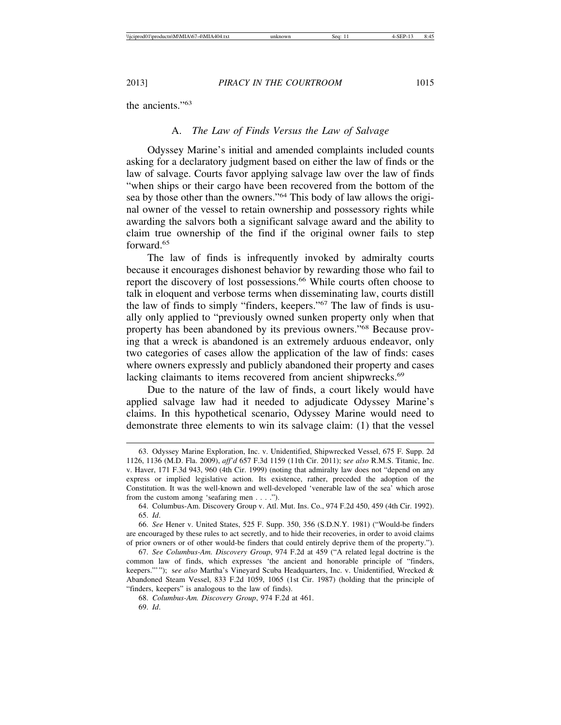the ancients."63

### A. *The Law of Finds Versus the Law of Salvage*

Odyssey Marine's initial and amended complaints included counts asking for a declaratory judgment based on either the law of finds or the law of salvage. Courts favor applying salvage law over the law of finds "when ships or their cargo have been recovered from the bottom of the sea by those other than the owners."64 This body of law allows the original owner of the vessel to retain ownership and possessory rights while awarding the salvors both a significant salvage award and the ability to claim true ownership of the find if the original owner fails to step forward.65

The law of finds is infrequently invoked by admiralty courts because it encourages dishonest behavior by rewarding those who fail to report the discovery of lost possessions.<sup>66</sup> While courts often choose to talk in eloquent and verbose terms when disseminating law, courts distill the law of finds to simply "finders, keepers."67 The law of finds is usually only applied to "previously owned sunken property only when that property has been abandoned by its previous owners."68 Because proving that a wreck is abandoned is an extremely arduous endeavor, only two categories of cases allow the application of the law of finds: cases where owners expressly and publicly abandoned their property and cases lacking claimants to items recovered from ancient shipwrecks.<sup>69</sup>

Due to the nature of the law of finds, a court likely would have applied salvage law had it needed to adjudicate Odyssey Marine's claims. In this hypothetical scenario, Odyssey Marine would need to demonstrate three elements to win its salvage claim: (1) that the vessel

<sup>63.</sup> Odyssey Marine Exploration, Inc. v. Unidentified, Shipwrecked Vessel, 675 F. Supp. 2d 1126, 1136 (M.D. Fla. 2009), *aff'd* 657 F.3d 1159 (11th Cir. 2011); s*ee also* R.M.S. Titanic, Inc. v. Haver, 171 F.3d 943, 960 (4th Cir. 1999) (noting that admiralty law does not "depend on any express or implied legislative action. Its existence, rather, preceded the adoption of the Constitution. It was the well-known and well-developed 'venerable law of the sea' which arose from the custom among 'seafaring men . . . .").

<sup>64.</sup> Columbus-Am. Discovery Group v. Atl. Mut. Ins. Co., 974 F.2d 450, 459 (4th Cir. 1992). 65. *Id*.

<sup>66.</sup> *See* Hener v. United States, 525 F. Supp. 350, 356 (S.D.N.Y. 1981) ("Would-be finders are encouraged by these rules to act secretly, and to hide their recoveries, in order to avoid claims of prior owners or of other would-be finders that could entirely deprive them of the property.").

<sup>67.</sup> *See Columbus-Am. Discovery Group*, 974 F.2d at 459 ("A related legal doctrine is the common law of finds, which expresses 'the ancient and honorable principle of "finders, keepers."'"); s*ee also* Martha's Vineyard Scuba Headquarters, Inc. v. Unidentified, Wrecked & Abandoned Steam Vessel, 833 F.2d 1059, 1065 (1st Cir. 1987) (holding that the principle of "finders, keepers" is analogous to the law of finds).

<sup>68.</sup> *Columbus-Am. Discovery Group*, 974 F.2d at 461.

<sup>69.</sup> *Id*.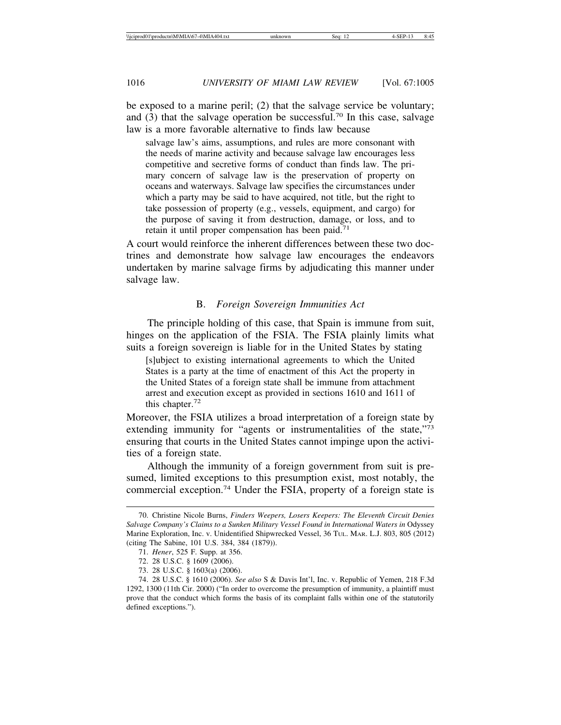be exposed to a marine peril; (2) that the salvage service be voluntary; and (3) that the salvage operation be successful.<sup>70</sup> In this case, salvage law is a more favorable alternative to finds law because

salvage law's aims, assumptions, and rules are more consonant with the needs of marine activity and because salvage law encourages less competitive and secretive forms of conduct than finds law. The primary concern of salvage law is the preservation of property on oceans and waterways. Salvage law specifies the circumstances under which a party may be said to have acquired, not title, but the right to take possession of property (e.g., vessels, equipment, and cargo) for the purpose of saving it from destruction, damage, or loss, and to retain it until proper compensation has been paid.<sup>71</sup>

A court would reinforce the inherent differences between these two doctrines and demonstrate how salvage law encourages the endeavors undertaken by marine salvage firms by adjudicating this manner under salvage law.

#### B. *Foreign Sovereign Immunities Act*

The principle holding of this case, that Spain is immune from suit, hinges on the application of the FSIA. The FSIA plainly limits what suits a foreign sovereign is liable for in the United States by stating

[s]ubject to existing international agreements to which the United States is a party at the time of enactment of this Act the property in the United States of a foreign state shall be immune from attachment arrest and execution except as provided in sections 1610 and 1611 of this chapter.<sup>72</sup>

Moreover, the FSIA utilizes a broad interpretation of a foreign state by extending immunity for "agents or instrumentalities of the state,"<sup>73</sup> ensuring that courts in the United States cannot impinge upon the activities of a foreign state.

Although the immunity of a foreign government from suit is presumed, limited exceptions to this presumption exist, most notably, the commercial exception.74 Under the FSIA, property of a foreign state is

<sup>70.</sup> Christine Nicole Burns, *Finders Weepers, Losers Keepers: The Eleventh Circuit Denies Salvage Company's Claims to a Sunken Military Vessel Found in International Waters in* Odyssey Marine Exploration, Inc. v. Unidentified Shipwrecked Vessel, 36 TUL. MAR. L.J. 803, 805 (2012) (citing The Sabine, 101 U.S. 384, 384 (1879)).

<sup>71.</sup> *Hener*, 525 F. Supp. at 356.

<sup>72. 28</sup> U.S.C. § 1609 (2006).

<sup>73. 28</sup> U.S.C. § 1603(a) (2006).

<sup>74. 28</sup> U.S.C. § 1610 (2006). *See also* S & Davis Int'l, Inc. v. Republic of Yemen, 218 F.3d 1292, 1300 (11th Cir. 2000) ("In order to overcome the presumption of immunity, a plaintiff must prove that the conduct which forms the basis of its complaint falls within one of the statutorily defined exceptions.").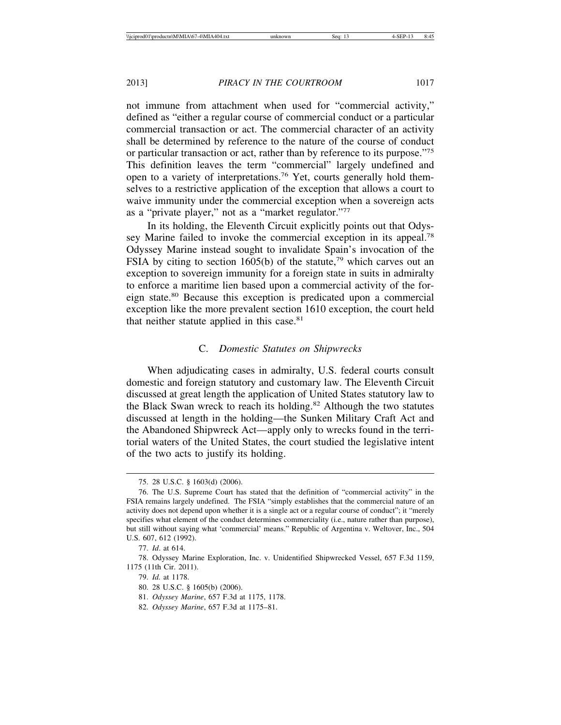not immune from attachment when used for "commercial activity," defined as "either a regular course of commercial conduct or a particular commercial transaction or act. The commercial character of an activity shall be determined by reference to the nature of the course of conduct or particular transaction or act, rather than by reference to its purpose."75 This definition leaves the term "commercial" largely undefined and open to a variety of interpretations.76 Yet, courts generally hold themselves to a restrictive application of the exception that allows a court to waive immunity under the commercial exception when a sovereign acts as a "private player," not as a "market regulator."77

In its holding, the Eleventh Circuit explicitly points out that Odyssey Marine failed to invoke the commercial exception in its appeal.<sup>78</sup> Odyssey Marine instead sought to invalidate Spain's invocation of the FSIA by citing to section 1605(b) of the statute,<sup>79</sup> which carves out an exception to sovereign immunity for a foreign state in suits in admiralty to enforce a maritime lien based upon a commercial activity of the foreign state.80 Because this exception is predicated upon a commercial exception like the more prevalent section 1610 exception, the court held that neither statute applied in this case.<sup>81</sup>

### C. *Domestic Statutes on Shipwrecks*

When adjudicating cases in admiralty, U.S. federal courts consult domestic and foreign statutory and customary law. The Eleventh Circuit discussed at great length the application of United States statutory law to the Black Swan wreck to reach its holding.<sup>82</sup> Although the two statutes discussed at length in the holding—the Sunken Military Craft Act and the Abandoned Shipwreck Act—apply only to wrecks found in the territorial waters of the United States, the court studied the legislative intent of the two acts to justify its holding.

<sup>75. 28</sup> U.S.C. § 1603(d) (2006).

<sup>76.</sup> The U.S. Supreme Court has stated that the definition of "commercial activity" in the FSIA remains largely undefined. The FSIA "simply establishes that the commercial nature of an activity does not depend upon whether it is a single act or a regular course of conduct"; it "merely specifies what element of the conduct determines commerciality (i.e., nature rather than purpose), but still without saying what 'commercial' means." Republic of Argentina v. Weltover, Inc., 504 U.S. 607, 612 (1992).

<sup>77.</sup> *Id*. at 614.

<sup>78.</sup> Odyssey Marine Exploration, Inc. v. Unidentified Shipwrecked Vessel, 657 F.3d 1159, 1175 (11th Cir. 2011).

<sup>79.</sup> *Id.* at 1178.

<sup>80. 28</sup> U.S.C. § 1605(b) (2006).

<sup>81.</sup> *Odyssey Marine*, 657 F.3d at 1175, 1178.

<sup>82.</sup> *Odyssey Marine*, 657 F.3d at 1175–81.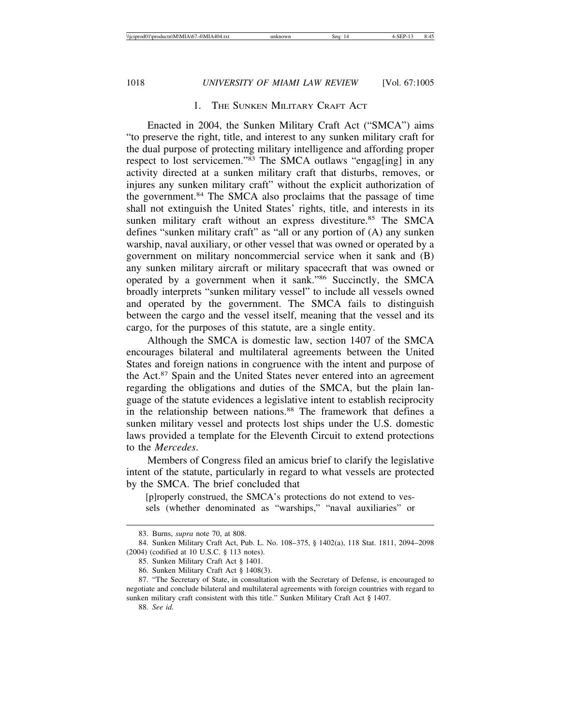# 1. THE SUNKEN MILITARY CRAFT ACT

Enacted in 2004, the Sunken Military Craft Act ("SMCA") aims "to preserve the right, title, and interest to any sunken military craft for the dual purpose of protecting military intelligence and affording proper respect to lost servicemen."<sup>83</sup> The SMCA outlaws "engag[ing] in any activity directed at a sunken military craft that disturbs, removes, or injures any sunken military craft" without the explicit authorization of the government.<sup>84</sup> The SMCA also proclaims that the passage of time shall not extinguish the United States' rights, title, and interests in its sunken military craft without an express divestiture.<sup>85</sup> The SMCA defines "sunken military craft" as "all or any portion of (A) any sunken warship, naval auxiliary, or other vessel that was owned or operated by a government on military noncommercial service when it sank and (B) any sunken military aircraft or military spacecraft that was owned or operated by a government when it sank."86 Succinctly, the SMCA broadly interprets "sunken military vessel" to include all vessels owned and operated by the government. The SMCA fails to distinguish between the cargo and the vessel itself, meaning that the vessel and its cargo, for the purposes of this statute, are a single entity.

Although the SMCA is domestic law, section 1407 of the SMCA encourages bilateral and multilateral agreements between the United States and foreign nations in congruence with the intent and purpose of the Act.87 Spain and the United States never entered into an agreement regarding the obligations and duties of the SMCA, but the plain language of the statute evidences a legislative intent to establish reciprocity in the relationship between nations.<sup>88</sup> The framework that defines a sunken military vessel and protects lost ships under the U.S. domestic laws provided a template for the Eleventh Circuit to extend protections to the *Mercedes*.

Members of Congress filed an amicus brief to clarify the legislative intent of the statute, particularly in regard to what vessels are protected by the SMCA. The brief concluded that

[p]roperly construed, the SMCA's protections do not extend to vessels (whether denominated as "warships," "naval auxiliaries" or

<sup>83.</sup> Burns, *supra* note 70, at 808.

<sup>84.</sup> Sunken Military Craft Act, Pub. L. No. 108–375, § 1402(a), 118 Stat. 1811, 2094–2098 (2004) (codified at 10 U.S.C. § 113 notes).

<sup>85.</sup> Sunken Military Craft Act § 1401.

<sup>86.</sup> Sunken Military Craft Act § 1408(3).

<sup>87. &</sup>quot;The Secretary of State, in consultation with the Secretary of Defense, is encouraged to negotiate and conclude bilateral and multilateral agreements with foreign countries with regard to sunken military craft consistent with this title." Sunken Military Craft Act § 1407.

<sup>88.</sup> *See id.*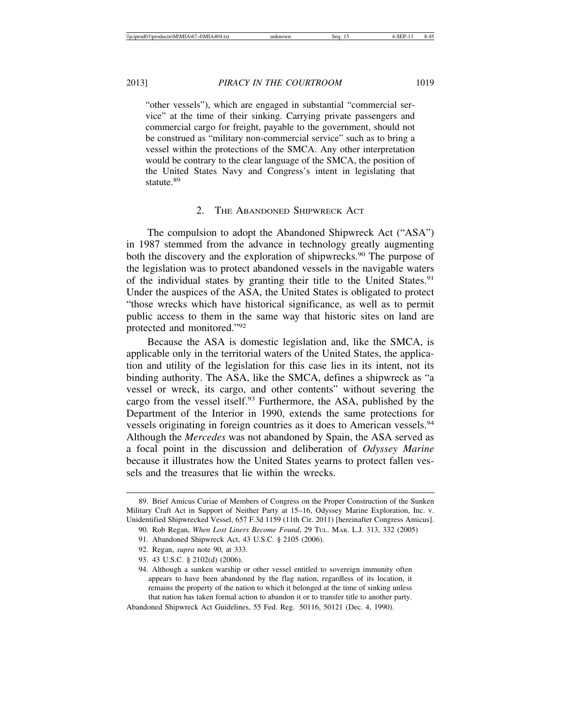"other vessels"), which are engaged in substantial "commercial service" at the time of their sinking. Carrying private passengers and commercial cargo for freight, payable to the government, should not be construed as "military non-commercial service" such as to bring a vessel within the protections of the SMCA. Any other interpretation would be contrary to the clear language of the SMCA, the position of the United States Navy and Congress's intent in legislating that statute.<sup>89</sup>

### 2. THE ABANDONED SHIPWRECK ACT

The compulsion to adopt the Abandoned Shipwreck Act ("ASA") in 1987 stemmed from the advance in technology greatly augmenting both the discovery and the exploration of shipwrecks.<sup>90</sup> The purpose of the legislation was to protect abandoned vessels in the navigable waters of the individual states by granting their title to the United States.<sup>91</sup> Under the auspices of the ASA, the United States is obligated to protect "those wrecks which have historical significance, as well as to permit public access to them in the same way that historic sites on land are protected and monitored."92

Because the ASA is domestic legislation and, like the SMCA, is applicable only in the territorial waters of the United States, the application and utility of the legislation for this case lies in its intent, not its binding authority. The ASA, like the SMCA, defines a shipwreck as "a vessel or wreck, its cargo, and other contents" without severing the cargo from the vessel itself.<sup>93</sup> Furthermore, the ASA, published by the Department of the Interior in 1990, extends the same protections for vessels originating in foreign countries as it does to American vessels.<sup>94</sup> Although the *Mercedes* was not abandoned by Spain, the ASA served as a focal point in the discussion and deliberation of *Odyssey Marine* because it illustrates how the United States yearns to protect fallen vessels and the treasures that lie within the wrecks.

<sup>89.</sup> Brief Amicus Curiae of Members of Congress on the Proper Construction of the Sunken Military Craft Act in Support of Neither Party at 15–16, Odyssey Marine Exploration, Inc. v. Unidentified Shipwrecked Vessel, 657 F.3d 1159 (11th Cir. 2011) [hereinafter Congress Amicus].

<sup>90.</sup> Rob Regan, *When Lost Liners Become Found*, 29 TUL. MAR. L.J. 313, 332 (2005)

<sup>91.</sup> Abandoned Shipwreck Act, 43 U.S.C. § 2105 (2006).

<sup>92.</sup> Regan, *supra* note 90, at 333.

<sup>93. 43</sup> U.S.C. § 2102(d) (2006).

<sup>94.</sup> Although a sunken warship or other vessel entitled to sovereign immunity often appears to have been abandoned by the flag nation, regardless of its location, it remains the property of the nation to which it belonged at the time of sinking unless that nation has taken formal action to abandon it or to transfer title to another party.

Abandoned Shipwreck Act Guidelines, 55 Fed. Reg. 50116, 50121 (Dec. 4, 1990).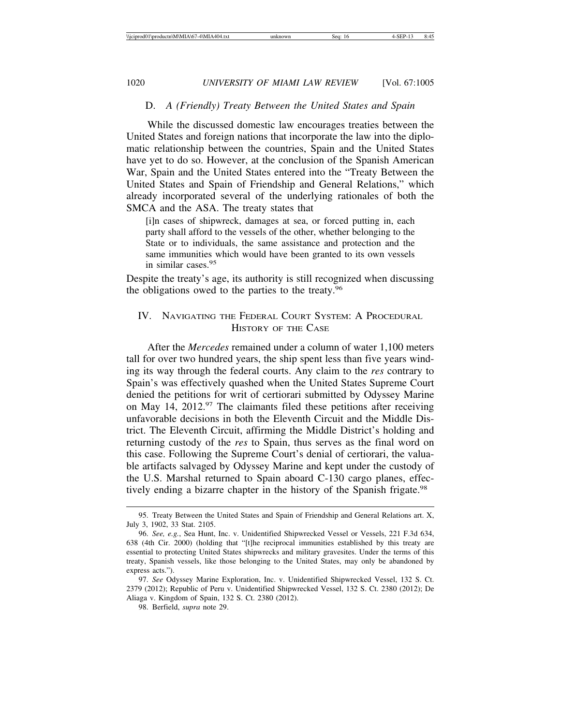# D. *A (Friendly) Treaty Between the United States and Spain*

While the discussed domestic law encourages treaties between the United States and foreign nations that incorporate the law into the diplomatic relationship between the countries, Spain and the United States have yet to do so. However, at the conclusion of the Spanish American War, Spain and the United States entered into the "Treaty Between the United States and Spain of Friendship and General Relations," which already incorporated several of the underlying rationales of both the SMCA and the ASA. The treaty states that

[i]n cases of shipwreck, damages at sea, or forced putting in, each party shall afford to the vessels of the other, whether belonging to the State or to individuals, the same assistance and protection and the same immunities which would have been granted to its own vessels in similar cases.<sup>95</sup>

Despite the treaty's age, its authority is still recognized when discussing the obligations owed to the parties to the treaty.96

# IV. NAVIGATING THE FEDERAL COURT SYSTEM: A PROCEDURAL HISTORY OF THE CASE

After the *Mercedes* remained under a column of water 1,100 meters tall for over two hundred years, the ship spent less than five years winding its way through the federal courts. Any claim to the *res* contrary to Spain's was effectively quashed when the United States Supreme Court denied the petitions for writ of certiorari submitted by Odyssey Marine on May 14,  $2012.^{97}$  The claimants filed these petitions after receiving unfavorable decisions in both the Eleventh Circuit and the Middle District. The Eleventh Circuit, affirming the Middle District's holding and returning custody of the *res* to Spain, thus serves as the final word on this case. Following the Supreme Court's denial of certiorari, the valuable artifacts salvaged by Odyssey Marine and kept under the custody of the U.S. Marshal returned to Spain aboard C-130 cargo planes, effectively ending a bizarre chapter in the history of the Spanish frigate.<sup>98</sup>

<sup>95.</sup> Treaty Between the United States and Spain of Friendship and General Relations art. X, July 3, 1902, 33 Stat. 2105.

<sup>96.</sup> *See, e.g.*, Sea Hunt, Inc. v. Unidentified Shipwrecked Vessel or Vessels, 221 F.3d 634, 638 (4th Cir. 2000) (holding that "[t]he reciprocal immunities established by this treaty are essential to protecting United States shipwrecks and military gravesites. Under the terms of this treaty, Spanish vessels, like those belonging to the United States, may only be abandoned by express acts.").

<sup>97.</sup> *See* Odyssey Marine Exploration, Inc. v. Unidentified Shipwrecked Vessel, 132 S. Ct. 2379 (2012); Republic of Peru v. Unidentified Shipwrecked Vessel, 132 S. Ct. 2380 (2012); De Aliaga v. Kingdom of Spain, 132 S. Ct. 2380 (2012).

<sup>98.</sup> Berfield, *supra* note 29.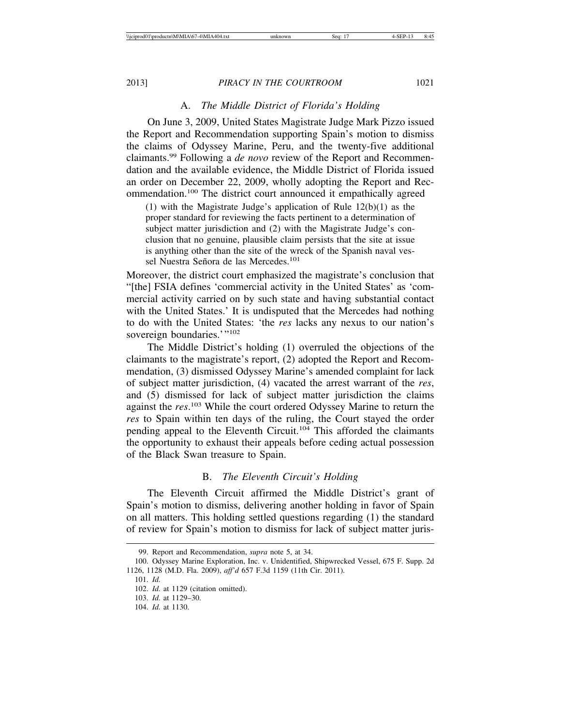### A. *The Middle District of Florida's Holding*

On June 3, 2009, United States Magistrate Judge Mark Pizzo issued the Report and Recommendation supporting Spain's motion to dismiss the claims of Odyssey Marine, Peru, and the twenty-five additional claimants.99 Following a *de novo* review of the Report and Recommendation and the available evidence, the Middle District of Florida issued an order on December 22, 2009, wholly adopting the Report and Recommendation.100 The district court announced it empathically agreed

(1) with the Magistrate Judge's application of Rule 12(b)(1) as the proper standard for reviewing the facts pertinent to a determination of subject matter jurisdiction and (2) with the Magistrate Judge's conclusion that no genuine, plausible claim persists that the site at issue is anything other than the site of the wreck of the Spanish naval vessel Nuestra Señora de las Mercedes.<sup>101</sup>

Moreover, the district court emphasized the magistrate's conclusion that "[the] FSIA defines 'commercial activity in the United States' as 'commercial activity carried on by such state and having substantial contact with the United States.' It is undisputed that the Mercedes had nothing to do with the United States: 'the *res* lacks any nexus to our nation's sovereign boundaries.'"<sup>102</sup>

The Middle District's holding (1) overruled the objections of the claimants to the magistrate's report, (2) adopted the Report and Recommendation, (3) dismissed Odyssey Marine's amended complaint for lack of subject matter jurisdiction, (4) vacated the arrest warrant of the *res*, and (5) dismissed for lack of subject matter jurisdiction the claims against the *res*. 103 While the court ordered Odyssey Marine to return the *res* to Spain within ten days of the ruling, the Court stayed the order pending appeal to the Eleventh Circuit.104 This afforded the claimants the opportunity to exhaust their appeals before ceding actual possession of the Black Swan treasure to Spain.

# B. *The Eleventh Circuit's Holding*

The Eleventh Circuit affirmed the Middle District's grant of Spain's motion to dismiss, delivering another holding in favor of Spain on all matters. This holding settled questions regarding (1) the standard of review for Spain's motion to dismiss for lack of subject matter juris-

<sup>99.</sup> Report and Recommendation, *supra* note 5, at 34.

<sup>100.</sup> Odyssey Marine Exploration, Inc. v. Unidentified, Shipwrecked Vessel, 675 F. Supp. 2d 1126, 1128 (M.D. Fla. 2009), *aff'd* 657 F.3d 1159 (11th Cir. 2011).

<sup>101.</sup> *Id.*

<sup>102.</sup> *Id.* at 1129 (citation omitted).

<sup>103.</sup> *Id.* at 1129–30.

<sup>104.</sup> *Id.* at 1130.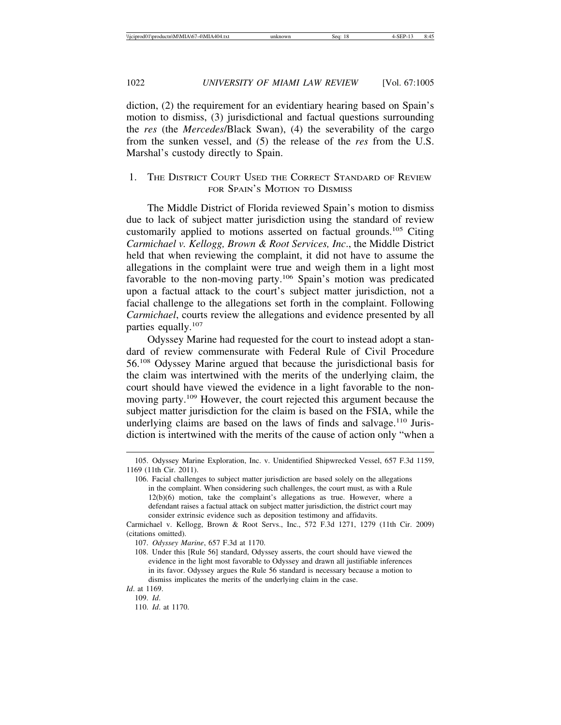diction, (2) the requirement for an evidentiary hearing based on Spain's motion to dismiss, (3) jurisdictional and factual questions surrounding the *res* (the *Mercedes*/Black Swan), (4) the severability of the cargo from the sunken vessel, and (5) the release of the *res* from the U.S. Marshal's custody directly to Spain.

# 1. THE DISTRICT COURT USED THE CORRECT STANDARD OF REVIEW FOR SPAIN'S MOTION TO DISMISS

The Middle District of Florida reviewed Spain's motion to dismiss due to lack of subject matter jurisdiction using the standard of review customarily applied to motions asserted on factual grounds.105 Citing *Carmichael v. Kellogg, Brown & Root Services, Inc*., the Middle District held that when reviewing the complaint, it did not have to assume the allegations in the complaint were true and weigh them in a light most favorable to the non-moving party.106 Spain's motion was predicated upon a factual attack to the court's subject matter jurisdiction, not a facial challenge to the allegations set forth in the complaint. Following *Carmichael*, courts review the allegations and evidence presented by all parties equally.<sup>107</sup>

Odyssey Marine had requested for the court to instead adopt a standard of review commensurate with Federal Rule of Civil Procedure 56.108 Odyssey Marine argued that because the jurisdictional basis for the claim was intertwined with the merits of the underlying claim, the court should have viewed the evidence in a light favorable to the nonmoving party.<sup>109</sup> However, the court rejected this argument because the subject matter jurisdiction for the claim is based on the FSIA, while the underlying claims are based on the laws of finds and salvage.<sup>110</sup> Jurisdiction is intertwined with the merits of the cause of action only "when a

*Id*. at 1169.

<sup>105.</sup> Odyssey Marine Exploration, Inc. v. Unidentified Shipwrecked Vessel, 657 F.3d 1159, 1169 (11th Cir. 2011).

<sup>106.</sup> Facial challenges to subject matter jurisdiction are based solely on the allegations in the complaint. When considering such challenges, the court must, as with a Rule 12(b)(6) motion, take the complaint's allegations as true. However, where a defendant raises a factual attack on subject matter jurisdiction, the district court may consider extrinsic evidence such as deposition testimony and affidavits.

Carmichael v. Kellogg, Brown & Root Servs., Inc., 572 F.3d 1271, 1279 (11th Cir. 2009) (citations omitted).

<sup>107.</sup> *Odyssey Marine*, 657 F.3d at 1170.

<sup>108.</sup> Under this [Rule 56] standard, Odyssey asserts, the court should have viewed the evidence in the light most favorable to Odyssey and drawn all justifiable inferences in its favor. Odyssey argues the Rule 56 standard is necessary because a motion to dismiss implicates the merits of the underlying claim in the case.

<sup>109.</sup> *Id*.

<sup>110.</sup> *Id*. at 1170.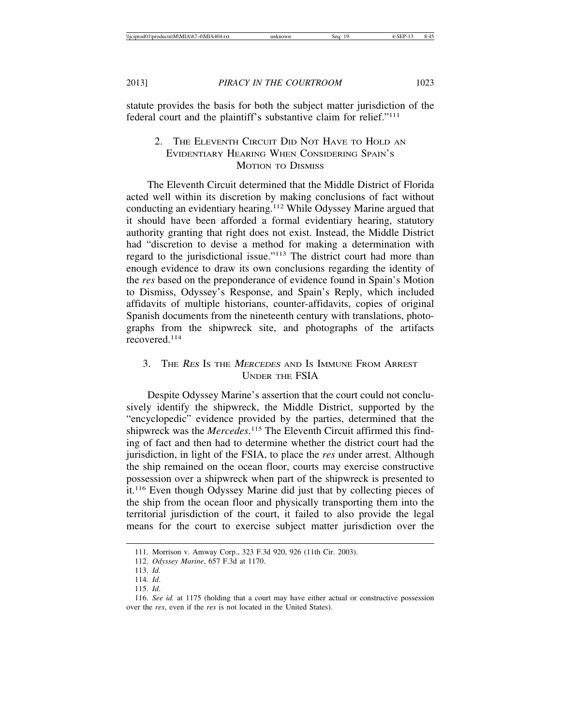statute provides the basis for both the subject matter jurisdiction of the federal court and the plaintiff's substantive claim for relief."111

# 2. THE ELEVENTH CIRCUIT DID NOT HAVE TO HOLD AN EVIDENTIARY HEARING WHEN CONSIDERING SPAIN'S MOTION TO DISMISS

The Eleventh Circuit determined that the Middle District of Florida acted well within its discretion by making conclusions of fact without conducting an evidentiary hearing.112 While Odyssey Marine argued that it should have been afforded a formal evidentiary hearing, statutory authority granting that right does not exist. Instead, the Middle District had "discretion to devise a method for making a determination with regard to the jurisdictional issue."113 The district court had more than enough evidence to draw its own conclusions regarding the identity of the *res* based on the preponderance of evidence found in Spain's Motion to Dismiss, Odyssey's Response, and Spain's Reply, which included affidavits of multiple historians, counter-affidavits, copies of original Spanish documents from the nineteenth century with translations, photographs from the shipwreck site, and photographs of the artifacts recovered.<sup>114</sup>

# 3. THE RES IS THE MERCEDES AND IS IMMUNE FROM ARREST UNDER THE FSIA

Despite Odyssey Marine's assertion that the court could not conclusively identify the shipwreck, the Middle District, supported by the "encyclopedic" evidence provided by the parties, determined that the shipwreck was the *Mercedes*. 115 The Eleventh Circuit affirmed this finding of fact and then had to determine whether the district court had the jurisdiction, in light of the FSIA, to place the *res* under arrest. Although the ship remained on the ocean floor, courts may exercise constructive possession over a shipwreck when part of the shipwreck is presented to it.116 Even though Odyssey Marine did just that by collecting pieces of the ship from the ocean floor and physically transporting them into the territorial jurisdiction of the court, it failed to also provide the legal means for the court to exercise subject matter jurisdiction over the

<sup>111.</sup> Morrison v. Amway Corp., 323 F.3d 920, 926 (11th Cir. 2003).

<sup>112.</sup> *Odyssey Marine*, 657 F.3d at 1170.

<sup>113.</sup> *Id.*

<sup>114.</sup> *Id*.

<sup>115.</sup> *Id*.

<sup>116.</sup> *See id.* at 1175 (holding that a court may have either actual or constructive possession over the *res*, even if the *res* is not located in the United States).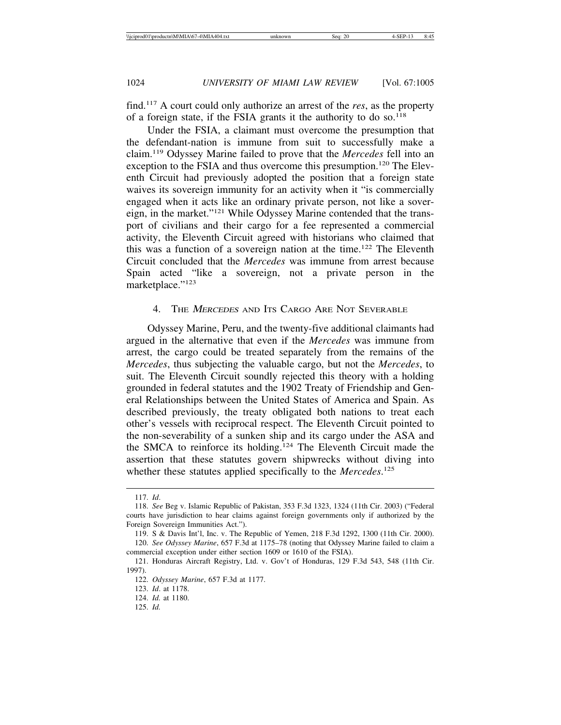find.117 A court could only authorize an arrest of the *res*, as the property of a foreign state, if the FSIA grants it the authority to do so. $118$ 

Under the FSIA, a claimant must overcome the presumption that the defendant-nation is immune from suit to successfully make a claim.119 Odyssey Marine failed to prove that the *Mercedes* fell into an exception to the FSIA and thus overcome this presumption.<sup>120</sup> The Eleventh Circuit had previously adopted the position that a foreign state waives its sovereign immunity for an activity when it "is commercially engaged when it acts like an ordinary private person, not like a sovereign, in the market."121 While Odyssey Marine contended that the transport of civilians and their cargo for a fee represented a commercial activity, the Eleventh Circuit agreed with historians who claimed that this was a function of a sovereign nation at the time.<sup>122</sup> The Eleventh Circuit concluded that the *Mercedes* was immune from arrest because Spain acted "like a sovereign, not a private person in the marketplace."<sup>123</sup>

### 4. THE *MERCEDES* AND ITS CARGO ARE NOT SEVERABLE

Odyssey Marine, Peru, and the twenty-five additional claimants had argued in the alternative that even if the *Mercedes* was immune from arrest, the cargo could be treated separately from the remains of the *Mercedes*, thus subjecting the valuable cargo, but not the *Mercedes*, to suit. The Eleventh Circuit soundly rejected this theory with a holding grounded in federal statutes and the 1902 Treaty of Friendship and General Relationships between the United States of America and Spain. As described previously, the treaty obligated both nations to treat each other's vessels with reciprocal respect. The Eleventh Circuit pointed to the non-severability of a sunken ship and its cargo under the ASA and the SMCA to reinforce its holding.124 The Eleventh Circuit made the assertion that these statutes govern shipwrecks without diving into whether these statutes applied specifically to the *Mercedes*. 125

<sup>117.</sup> *Id*.

<sup>118.</sup> *See* Beg v. Islamic Republic of Pakistan, 353 F.3d 1323, 1324 (11th Cir. 2003) ("Federal courts have jurisdiction to hear claims against foreign governments only if authorized by the Foreign Sovereign Immunities Act.").

<sup>119.</sup> S & Davis Int'l, Inc. v. The Republic of Yemen, 218 F.3d 1292, 1300 (11th Cir. 2000).

<sup>120.</sup> *See Odyssey Marine*, 657 F.3d at 1175–78 (noting that Odyssey Marine failed to claim a commercial exception under either section 1609 or 1610 of the FSIA).

<sup>121.</sup> Honduras Aircraft Registry, Ltd. v. Gov't of Honduras, 129 F.3d 543, 548 (11th Cir. 1997).

<sup>122.</sup> *Odyssey Marine*, 657 F.3d at 1177.

<sup>123.</sup> *Id*. at 1178.

<sup>124.</sup> *Id.* at 1180.

<sup>125.</sup> *Id.*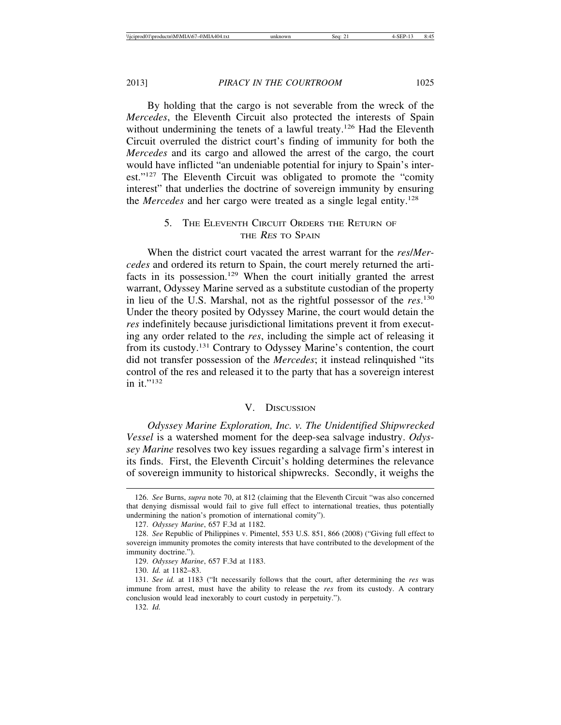By holding that the cargo is not severable from the wreck of the *Mercedes*, the Eleventh Circuit also protected the interests of Spain without undermining the tenets of a lawful treaty.<sup>126</sup> Had the Eleventh Circuit overruled the district court's finding of immunity for both the *Mercedes* and its cargo and allowed the arrest of the cargo, the court would have inflicted "an undeniable potential for injury to Spain's interest."127 The Eleventh Circuit was obligated to promote the "comity interest" that underlies the doctrine of sovereign immunity by ensuring the *Mercedes* and her cargo were treated as a single legal entity.128

# 5. THE ELEVENTH CIRCUIT ORDERS THE RETURN OF THE RES TO SPAIN

When the district court vacated the arrest warrant for the *res*/*Mercedes* and ordered its return to Spain, the court merely returned the artifacts in its possession.<sup>129</sup> When the court initially granted the arrest warrant, Odyssey Marine served as a substitute custodian of the property in lieu of the U.S. Marshal, not as the rightful possessor of the *res*. 130 Under the theory posited by Odyssey Marine, the court would detain the *res* indefinitely because jurisdictional limitations prevent it from executing any order related to the *res*, including the simple act of releasing it from its custody.131 Contrary to Odyssey Marine's contention, the court did not transfer possession of the *Mercedes*; it instead relinquished "its control of the res and released it to the party that has a sovereign interest in it."132

### V. DISCUSSION

*Odyssey Marine Exploration, Inc. v. The Unidentified Shipwrecked Vessel* is a watershed moment for the deep-sea salvage industry. *Odyssey Marine* resolves two key issues regarding a salvage firm's interest in its finds. First, the Eleventh Circuit's holding determines the relevance of sovereign immunity to historical shipwrecks. Secondly, it weighs the

132. *Id.*

<sup>126.</sup> *See* Burns, *supra* note 70, at 812 (claiming that the Eleventh Circuit "was also concerned that denying dismissal would fail to give full effect to international treaties, thus potentially undermining the nation's promotion of international comity").

<sup>127.</sup> *Odyssey Marine*, 657 F.3d at 1182.

<sup>128.</sup> *See* Republic of Philippines v. Pimentel, 553 U.S. 851, 866 (2008) ("Giving full effect to sovereign immunity promotes the comity interests that have contributed to the development of the immunity doctrine.").

<sup>129.</sup> *Odyssey Marine*, 657 F.3d at 1183.

<sup>130.</sup> *Id.* at 1182–83.

<sup>131.</sup> *See id.* at 1183 ("It necessarily follows that the court, after determining the *res* was immune from arrest, must have the ability to release the *res* from its custody. A contrary conclusion would lead inexorably to court custody in perpetuity.").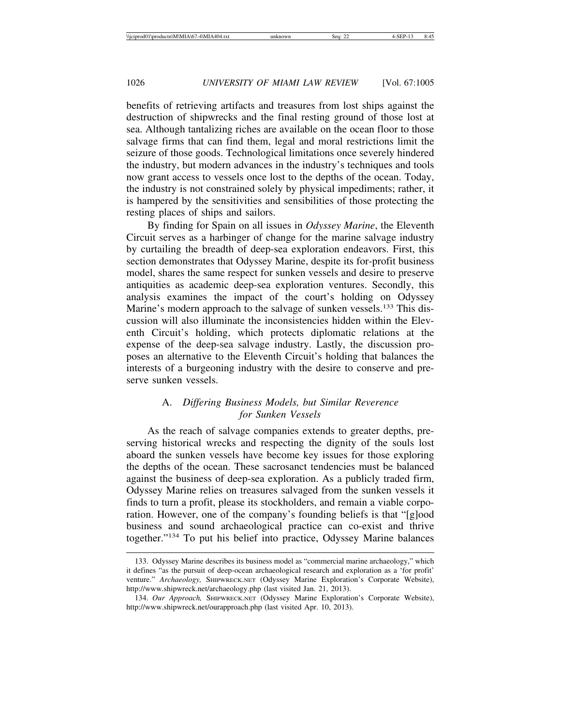benefits of retrieving artifacts and treasures from lost ships against the destruction of shipwrecks and the final resting ground of those lost at sea. Although tantalizing riches are available on the ocean floor to those salvage firms that can find them, legal and moral restrictions limit the seizure of those goods. Technological limitations once severely hindered the industry, but modern advances in the industry's techniques and tools now grant access to vessels once lost to the depths of the ocean. Today, the industry is not constrained solely by physical impediments; rather, it is hampered by the sensitivities and sensibilities of those protecting the resting places of ships and sailors.

By finding for Spain on all issues in *Odyssey Marine*, the Eleventh Circuit serves as a harbinger of change for the marine salvage industry by curtailing the breadth of deep-sea exploration endeavors. First, this section demonstrates that Odyssey Marine, despite its for-profit business model, shares the same respect for sunken vessels and desire to preserve antiquities as academic deep-sea exploration ventures. Secondly, this analysis examines the impact of the court's holding on Odyssey Marine's modern approach to the salvage of sunken vessels.<sup>133</sup> This discussion will also illuminate the inconsistencies hidden within the Eleventh Circuit's holding, which protects diplomatic relations at the expense of the deep-sea salvage industry. Lastly, the discussion proposes an alternative to the Eleventh Circuit's holding that balances the interests of a burgeoning industry with the desire to conserve and preserve sunken vessels.

# A. *Differing Business Models, but Similar Reverence for Sunken Vessels*

As the reach of salvage companies extends to greater depths, preserving historical wrecks and respecting the dignity of the souls lost aboard the sunken vessels have become key issues for those exploring the depths of the ocean. These sacrosanct tendencies must be balanced against the business of deep-sea exploration. As a publicly traded firm, Odyssey Marine relies on treasures salvaged from the sunken vessels it finds to turn a profit, please its stockholders, and remain a viable corporation. However, one of the company's founding beliefs is that "[g]ood business and sound archaeological practice can co-exist and thrive together."134 To put his belief into practice, Odyssey Marine balances

<sup>133.</sup> Odyssey Marine describes its business model as "commercial marine archaeology," which it defines "as the pursuit of deep-ocean archaeological research and exploration as a 'for profit' venture." *Archaeology,* SHIPWRECK.NET (Odyssey Marine Exploration's Corporate Website), http://www.shipwreck.net/archaeology.php (last visited Jan. 21, 2013).

<sup>134.</sup> *Our Approach,* SHIPWRECK.NET (Odyssey Marine Exploration's Corporate Website), http://www.shipwreck.net/ourapproach.php (last visited Apr. 10, 2013).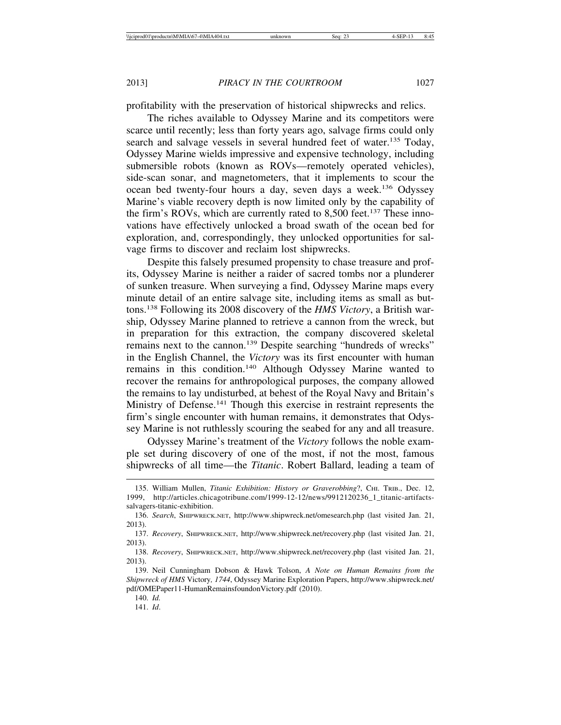profitability with the preservation of historical shipwrecks and relics.

The riches available to Odyssey Marine and its competitors were scarce until recently; less than forty years ago, salvage firms could only search and salvage vessels in several hundred feet of water.<sup>135</sup> Today, Odyssey Marine wields impressive and expensive technology, including submersible robots (known as ROVs—remotely operated vehicles), side-scan sonar, and magnetometers, that it implements to scour the ocean bed twenty-four hours a day, seven days a week.136 Odyssey Marine's viable recovery depth is now limited only by the capability of the firm's ROVs, which are currently rated to  $8,500$  feet.<sup>137</sup> These innovations have effectively unlocked a broad swath of the ocean bed for exploration, and, correspondingly, they unlocked opportunities for salvage firms to discover and reclaim lost shipwrecks.

Despite this falsely presumed propensity to chase treasure and profits, Odyssey Marine is neither a raider of sacred tombs nor a plunderer of sunken treasure. When surveying a find, Odyssey Marine maps every minute detail of an entire salvage site, including items as small as buttons.138 Following its 2008 discovery of the *HMS Victory*, a British warship, Odyssey Marine planned to retrieve a cannon from the wreck, but in preparation for this extraction, the company discovered skeletal remains next to the cannon.<sup>139</sup> Despite searching "hundreds of wrecks" in the English Channel, the *Victory* was its first encounter with human remains in this condition.140 Although Odyssey Marine wanted to recover the remains for anthropological purposes, the company allowed the remains to lay undisturbed, at behest of the Royal Navy and Britain's Ministry of Defense.<sup>141</sup> Though this exercise in restraint represents the firm's single encounter with human remains, it demonstrates that Odyssey Marine is not ruthlessly scouring the seabed for any and all treasure.

Odyssey Marine's treatment of the *Victory* follows the noble example set during discovery of one of the most, if not the most, famous shipwrecks of all time—the *Titanic*. Robert Ballard, leading a team of

<sup>135.</sup> William Mullen, *Titanic Exhibition: History or Graverobbing*?, CHI. TRIB., Dec. 12, 1999, http://articles.chicagotribune.com/1999-12-12/news/9912120236\_1\_titanic-artifactssalvagers-titanic-exhibition.

<sup>136.</sup> *Search*, SHIPWRECK.NET, http://www.shipwreck.net/omesearch.php (last visited Jan. 21, 2013).

<sup>137.</sup> *Recovery*, SHIPWRECK.NET, http://www.shipwreck.net/recovery.php (last visited Jan. 21, 2013).

<sup>138.</sup> *Recovery*, SHIPWRECK.NET, http://www.shipwreck.net/recovery.php (last visited Jan. 21, 2013).

<sup>139.</sup> Neil Cunningham Dobson & Hawk Tolson, *A Note on Human Remains from the Shipwreck of HMS* Victory*, 1744*, Odyssey Marine Exploration Papers, http://www.shipwreck.net/ pdf/OMEPaper11-HumanRemainsfoundonVictory.pdf (2010).

<sup>140.</sup> *Id.*

<sup>141.</sup> *Id*.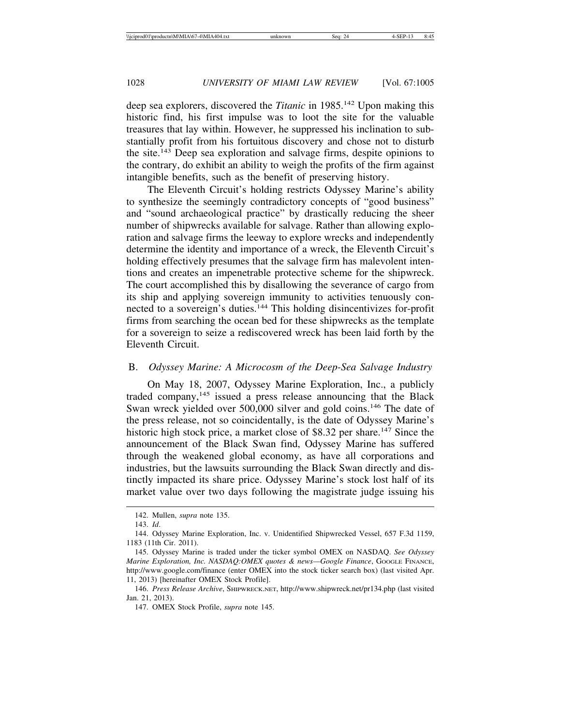deep sea explorers, discovered the *Titanic* in 1985.142 Upon making this historic find, his first impulse was to loot the site for the valuable treasures that lay within. However, he suppressed his inclination to substantially profit from his fortuitous discovery and chose not to disturb the site.143 Deep sea exploration and salvage firms, despite opinions to the contrary, do exhibit an ability to weigh the profits of the firm against intangible benefits, such as the benefit of preserving history.

The Eleventh Circuit's holding restricts Odyssey Marine's ability to synthesize the seemingly contradictory concepts of "good business" and "sound archaeological practice" by drastically reducing the sheer number of shipwrecks available for salvage. Rather than allowing exploration and salvage firms the leeway to explore wrecks and independently determine the identity and importance of a wreck, the Eleventh Circuit's holding effectively presumes that the salvage firm has malevolent intentions and creates an impenetrable protective scheme for the shipwreck. The court accomplished this by disallowing the severance of cargo from its ship and applying sovereign immunity to activities tenuously connected to a sovereign's duties.144 This holding disincentivizes for-profit firms from searching the ocean bed for these shipwrecks as the template for a sovereign to seize a rediscovered wreck has been laid forth by the Eleventh Circuit.

### B. *Odyssey Marine: A Microcosm of the Deep-Sea Salvage Industry*

On May 18, 2007, Odyssey Marine Exploration, Inc., a publicly traded company, $145$  issued a press release announcing that the Black Swan wreck yielded over 500,000 silver and gold coins.<sup>146</sup> The date of the press release, not so coincidentally, is the date of Odyssey Marine's historic high stock price, a market close of \$8.32 per share.<sup>147</sup> Since the announcement of the Black Swan find, Odyssey Marine has suffered through the weakened global economy, as have all corporations and industries, but the lawsuits surrounding the Black Swan directly and distinctly impacted its share price. Odyssey Marine's stock lost half of its market value over two days following the magistrate judge issuing his

<sup>142.</sup> Mullen, *supra* note 135.

<sup>143.</sup> *Id*.

<sup>144.</sup> Odyssey Marine Exploration, Inc. v. Unidentified Shipwrecked Vessel, 657 F.3d 1159, 1183 (11th Cir. 2011).

<sup>145.</sup> Odyssey Marine is traded under the ticker symbol OMEX on NASDAQ. *See Odyssey Marine Exploration, Inc. NASDAQ:OMEX quotes & news—Google Finance*, GOOGLE FINANCE, http://www.google.com/finance (enter OMEX into the stock ticker search box) (last visited Apr. 11, 2013) [hereinafter OMEX Stock Profile].

<sup>146.</sup> *Press Release Archive*, SHIPWRECK.NET, http://www.shipwreck.net/pr134.php (last visited Jan. 21, 2013).

<sup>147.</sup> OMEX Stock Profile, *supra* note 145.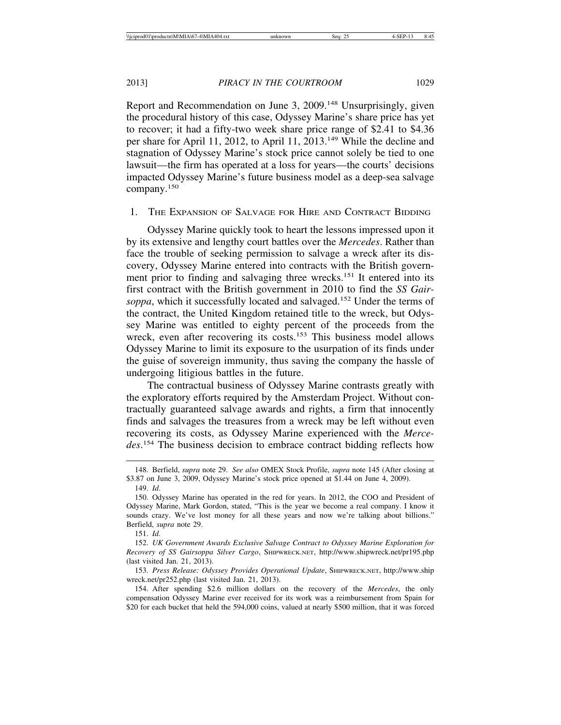Report and Recommendation on June 3, 2009.<sup>148</sup> Unsurprisingly, given the procedural history of this case, Odyssey Marine's share price has yet to recover; it had a fifty-two week share price range of \$2.41 to \$4.36 per share for April 11, 2012, to April 11, 2013.149 While the decline and stagnation of Odyssey Marine's stock price cannot solely be tied to one lawsuit—the firm has operated at a loss for years—the courts' decisions impacted Odyssey Marine's future business model as a deep-sea salvage company.<sup>150</sup>

1. THE EXPANSION OF SALVAGE FOR HIRE AND CONTRACT BIDDING

Odyssey Marine quickly took to heart the lessons impressed upon it by its extensive and lengthy court battles over the *Mercedes*. Rather than face the trouble of seeking permission to salvage a wreck after its discovery, Odyssey Marine entered into contracts with the British government prior to finding and salvaging three wrecks.151 It entered into its first contract with the British government in 2010 to find the *SS Gairsoppa*, which it successfully located and salvaged.152 Under the terms of the contract, the United Kingdom retained title to the wreck, but Odyssey Marine was entitled to eighty percent of the proceeds from the wreck, even after recovering its costs.<sup>153</sup> This business model allows Odyssey Marine to limit its exposure to the usurpation of its finds under the guise of sovereign immunity, thus saving the company the hassle of undergoing litigious battles in the future.

The contractual business of Odyssey Marine contrasts greatly with the exploratory efforts required by the Amsterdam Project. Without contractually guaranteed salvage awards and rights, a firm that innocently finds and salvages the treasures from a wreck may be left without even recovering its costs, as Odyssey Marine experienced with the *Mercedes*. 154 The business decision to embrace contract bidding reflects how

151. *Id.*

154. After spending \$2.6 million dollars on the recovery of the *Mercedes*, the only compensation Odyssey Marine ever received for its work was a reimbursement from Spain for \$20 for each bucket that held the 594,000 coins, valued at nearly \$500 million, that it was forced

<sup>148.</sup> Berfield, *supra* note 29. *See also* OMEX Stock Profile, *supra* note 145 (After closing at \$3.87 on June 3, 2009, Odyssey Marine's stock price opened at \$1.44 on June 4, 2009).

<sup>149.</sup> *Id*.

<sup>150.</sup> Odyssey Marine has operated in the red for years. In 2012, the COO and President of Odyssey Marine, Mark Gordon, stated, "This is the year we become a real company. I know it sounds crazy. We've lost money for all these years and now we're talking about billions." Berfield, *supra* note 29.

<sup>152.</sup> *UK Government Awards Exclusive Salvage Contract to Odyssey Marine Exploration for Recovery of SS Gairsoppa Silver Cargo*, SHIPWRECK.NET, http://www.shipwreck.net/pr195.php (last visited Jan. 21, 2013).

<sup>153.</sup> *Press Release: Odyssey Provides Operational Update*, SHIPWRECK.NET, http://www.ship wreck.net/pr252.php (last visited Jan. 21, 2013).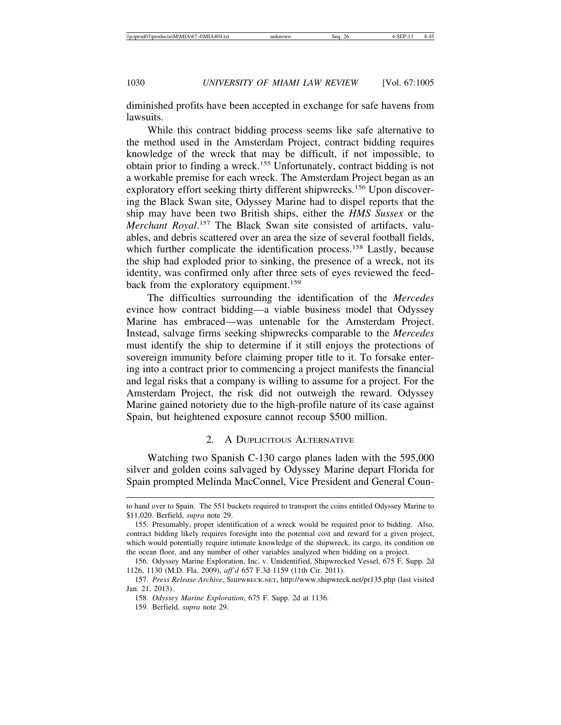diminished profits have been accepted in exchange for safe havens from lawsuits.

While this contract bidding process seems like safe alternative to the method used in the Amsterdam Project, contract bidding requires knowledge of the wreck that may be difficult, if not impossible, to obtain prior to finding a wreck.155 Unfortunately, contract bidding is not a workable premise for each wreck. The Amsterdam Project began as an exploratory effort seeking thirty different shipwrecks.<sup>156</sup> Upon discovering the Black Swan site, Odyssey Marine had to dispel reports that the ship may have been two British ships, either the *HMS Sussex* or the Merchant Royal.<sup>157</sup> The Black Swan site consisted of artifacts, valuables, and debris scattered over an area the size of several football fields, which further complicate the identification process.<sup>158</sup> Lastly, because the ship had exploded prior to sinking, the presence of a wreck, not its identity, was confirmed only after three sets of eyes reviewed the feedback from the exploratory equipment.<sup>159</sup>

The difficulties surrounding the identification of the *Mercedes* evince how contract bidding—a viable business model that Odyssey Marine has embraced—was untenable for the Amsterdam Project. Instead, salvage firms seeking shipwrecks comparable to the *Mercedes* must identify the ship to determine if it still enjoys the protections of sovereign immunity before claiming proper title to it. To forsake entering into a contract prior to commencing a project manifests the financial and legal risks that a company is willing to assume for a project. For the Amsterdam Project, the risk did not outweigh the reward. Odyssey Marine gained notoriety due to the high-profile nature of its case against Spain, but heightened exposure cannot recoup \$500 million.

#### 2. A DUPLICITOUS ALTERNATIVE

Watching two Spanish C-130 cargo planes laden with the 595,000 silver and golden coins salvaged by Odyssey Marine depart Florida for Spain prompted Melinda MacConnel, Vice President and General Coun-

to hand over to Spain. The 551 buckets required to transport the coins entitled Odyssey Marine to \$11,020. Berfield, *supra* note 29.

<sup>155.</sup> Presumably, proper identification of a wreck would be required prior to bidding. Also, contract bidding likely requires foresight into the potential cost and reward for a given project, which would potentially require intimate knowledge of the shipwreck, its cargo, its condition on the ocean floor, and any number of other variables analyzed when bidding on a project.

<sup>156.</sup> Odyssey Marine Exploration, Inc. v. Unidentified, Shipwrecked Vessel, 675 F. Supp. 2d 1126, 1130 (M.D. Fla. 2009), *aff'd* 657 F.3d 1159 (11th Cir. 2011).

<sup>157.</sup> *Press Release Archive*, SHIPWRECK.NET, http://www.shipwreck.net/pr135.php (last visited Jan. 21, 2013).

<sup>158.</sup> *Odyssey Marine Exploration*, 675 F. Supp. 2d at 1136.

<sup>159.</sup> Berfield, *supra* note 29.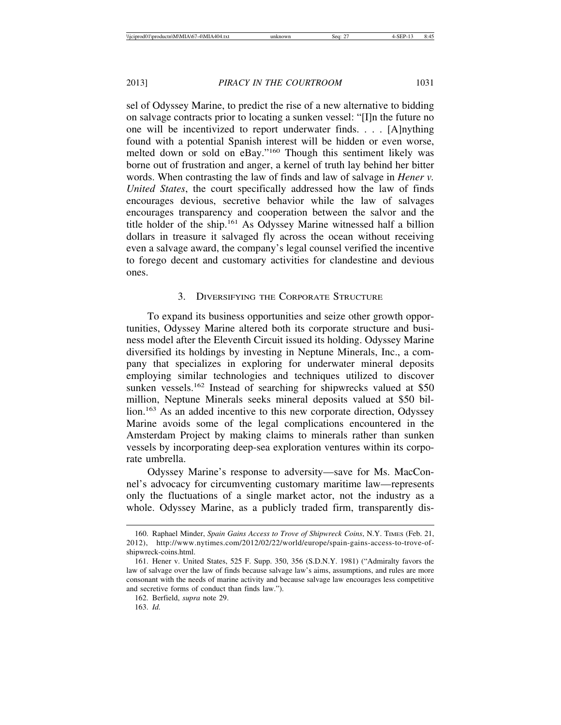sel of Odyssey Marine, to predict the rise of a new alternative to bidding on salvage contracts prior to locating a sunken vessel: "[I]n the future no one will be incentivized to report underwater finds. . . . [A]nything found with a potential Spanish interest will be hidden or even worse, melted down or sold on eBay."160 Though this sentiment likely was borne out of frustration and anger, a kernel of truth lay behind her bitter words. When contrasting the law of finds and law of salvage in *Hener v. United States*, the court specifically addressed how the law of finds encourages devious, secretive behavior while the law of salvages encourages transparency and cooperation between the salvor and the title holder of the ship.161 As Odyssey Marine witnessed half a billion dollars in treasure it salvaged fly across the ocean without receiving even a salvage award, the company's legal counsel verified the incentive to forego decent and customary activities for clandestine and devious ones.

### 3. DIVERSIFYING THE CORPORATE STRUCTURE

To expand its business opportunities and seize other growth opportunities, Odyssey Marine altered both its corporate structure and business model after the Eleventh Circuit issued its holding. Odyssey Marine diversified its holdings by investing in Neptune Minerals, Inc., a company that specializes in exploring for underwater mineral deposits employing similar technologies and techniques utilized to discover sunken vessels.<sup>162</sup> Instead of searching for shipwrecks valued at \$50 million, Neptune Minerals seeks mineral deposits valued at \$50 billion.<sup>163</sup> As an added incentive to this new corporate direction, Odyssey Marine avoids some of the legal complications encountered in the Amsterdam Project by making claims to minerals rather than sunken vessels by incorporating deep-sea exploration ventures within its corporate umbrella.

Odyssey Marine's response to adversity—save for Ms. MacConnel's advocacy for circumventing customary maritime law—represents only the fluctuations of a single market actor, not the industry as a whole. Odyssey Marine, as a publicly traded firm, transparently dis-

<sup>160.</sup> Raphael Minder, *Spain Gains Access to Trove of Shipwreck Coins*, N.Y. TIMES (Feb. 21, 2012), http://www.nytimes.com/2012/02/22/world/europe/spain-gains-access-to-trove-ofshipwreck-coins.html.

<sup>161.</sup> Hener v. United States, 525 F. Supp. 350, 356 (S.D.N.Y. 1981) ("Admiralty favors the law of salvage over the law of finds because salvage law's aims, assumptions, and rules are more consonant with the needs of marine activity and because salvage law encourages less competitive and secretive forms of conduct than finds law.").

<sup>162.</sup> Berfield, *supra* note 29.

<sup>163.</sup> *Id.*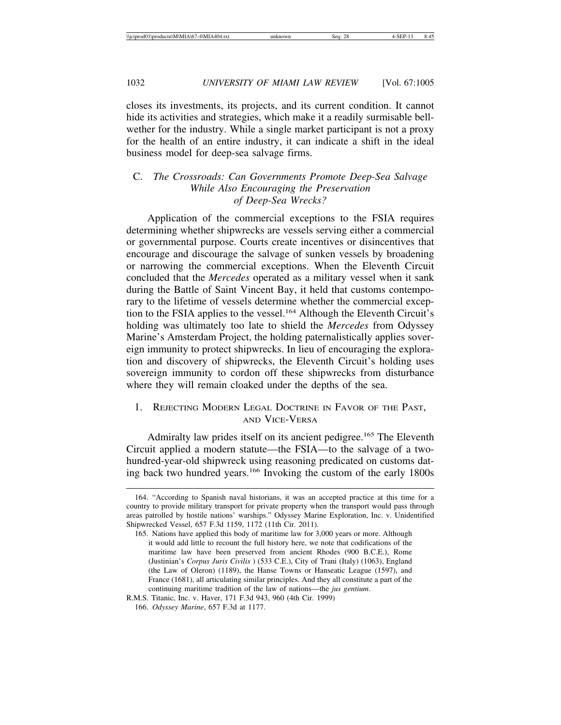closes its investments, its projects, and its current condition. It cannot hide its activities and strategies, which make it a readily surmisable bellwether for the industry. While a single market participant is not a proxy for the health of an entire industry, it can indicate a shift in the ideal business model for deep-sea salvage firms.

# C. *The Crossroads: Can Governments Promote Deep-Sea Salvage While Also Encouraging the Preservation of Deep-Sea Wrecks?*

Application of the commercial exceptions to the FSIA requires determining whether shipwrecks are vessels serving either a commercial or governmental purpose. Courts create incentives or disincentives that encourage and discourage the salvage of sunken vessels by broadening or narrowing the commercial exceptions. When the Eleventh Circuit concluded that the *Mercedes* operated as a military vessel when it sank during the Battle of Saint Vincent Bay, it held that customs contemporary to the lifetime of vessels determine whether the commercial exception to the FSIA applies to the vessel.<sup>164</sup> Although the Eleventh Circuit's holding was ultimately too late to shield the *Mercedes* from Odyssey Marine's Amsterdam Project, the holding paternalistically applies sovereign immunity to protect shipwrecks. In lieu of encouraging the exploration and discovery of shipwrecks, the Eleventh Circuit's holding uses sovereign immunity to cordon off these shipwrecks from disturbance where they will remain cloaked under the depths of the sea.

# 1. REJECTING MODERN LEGAL DOCTRINE IN FAVOR OF THE PAST, AND VICE-VERSA

Admiralty law prides itself on its ancient pedigree.<sup>165</sup> The Eleventh Circuit applied a modern statute—the FSIA—to the salvage of a twohundred-year-old shipwreck using reasoning predicated on customs dating back two hundred years.166 Invoking the custom of the early 1800s

<sup>164. &</sup>quot;According to Spanish naval historians, it was an accepted practice at this time for a country to provide military transport for private property when the transport would pass through areas patrolled by hostile nations' warships." Odyssey Marine Exploration, Inc. v. Unidentified Shipwrecked Vessel, 657 F.3d 1159, 1172 (11th Cir. 2011).

<sup>165.</sup> Nations have applied this body of maritime law for 3,000 years or more. Although it would add little to recount the full history here, we note that codifications of the maritime law have been preserved from ancient Rhodes (900 B.C.E.), Rome (Justinian's *Corpus Juris Civilis* ) (533 C.E.), City of Trani (Italy) (1063), England (the Law of Oleron) (1189), the Hanse Towns or Hanseatic League (1597), and France (1681), all articulating similar principles. And they all constitute a part of the continuing maritime tradition of the law of nations—the *jus gentium*.

R.M.S. Titanic, Inc. v. Haver, 171 F.3d 943, 960 (4th Cir. 1999)

<sup>166.</sup> *Odyssey Marine*, 657 F.3d at 1177.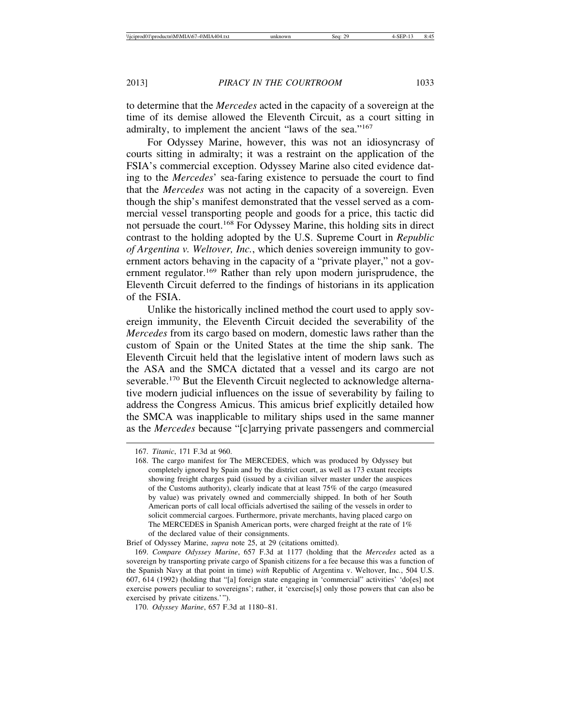to determine that the *Mercedes* acted in the capacity of a sovereign at the time of its demise allowed the Eleventh Circuit, as a court sitting in admiralty, to implement the ancient "laws of the sea."167

For Odyssey Marine, however, this was not an idiosyncrasy of courts sitting in admiralty; it was a restraint on the application of the FSIA's commercial exception. Odyssey Marine also cited evidence dating to the *Mercedes*' sea-faring existence to persuade the court to find that the *Mercedes* was not acting in the capacity of a sovereign. Even though the ship's manifest demonstrated that the vessel served as a commercial vessel transporting people and goods for a price, this tactic did not persuade the court.<sup>168</sup> For Odyssey Marine, this holding sits in direct contrast to the holding adopted by the U.S. Supreme Court in *Republic of Argentina v. Weltover, Inc.*, which denies sovereign immunity to government actors behaving in the capacity of a "private player," not a government regulator.<sup>169</sup> Rather than rely upon modern jurisprudence, the Eleventh Circuit deferred to the findings of historians in its application of the FSIA.

Unlike the historically inclined method the court used to apply sovereign immunity, the Eleventh Circuit decided the severability of the *Mercedes* from its cargo based on modern, domestic laws rather than the custom of Spain or the United States at the time the ship sank. The Eleventh Circuit held that the legislative intent of modern laws such as the ASA and the SMCA dictated that a vessel and its cargo are not severable.<sup>170</sup> But the Eleventh Circuit neglected to acknowledge alternative modern judicial influences on the issue of severability by failing to address the Congress Amicus. This amicus brief explicitly detailed how the SMCA was inapplicable to military ships used in the same manner as the *Mercedes* because "[c]arrying private passengers and commercial

<sup>167.</sup> *Titanic*, 171 F.3d at 960.

<sup>168.</sup> The cargo manifest for The MERCEDES, which was produced by Odyssey but completely ignored by Spain and by the district court, as well as 173 extant receipts showing freight charges paid (issued by a civilian silver master under the auspices of the Customs authority), clearly indicate that at least 75% of the cargo (measured by value) was privately owned and commercially shipped. In both of her South American ports of call local officials advertised the sailing of the vessels in order to solicit commercial cargoes. Furthermore, private merchants, having placed cargo on The MERCEDES in Spanish American ports, were charged freight at the rate of 1% of the declared value of their consignments.

Brief of Odyssey Marine, *supra* note 25, at 29 (citations omitted).

<sup>169.</sup> *Compare Odyssey Marine*, 657 F.3d at 1177 (holding that the *Mercedes* acted as a sovereign by transporting private cargo of Spanish citizens for a fee because this was a function of the Spanish Navy at that point in time) *with* Republic of Argentina v. Weltover, Inc*.*, 504 U.S. 607, 614 (1992) (holding that "[a] foreign state engaging in 'commercial" activities' 'do[es] not exercise powers peculiar to sovereigns'; rather, it 'exercise[s] only those powers that can also be exercised by private citizens.'").

<sup>170.</sup> *Odyssey Marine*, 657 F.3d at 1180–81.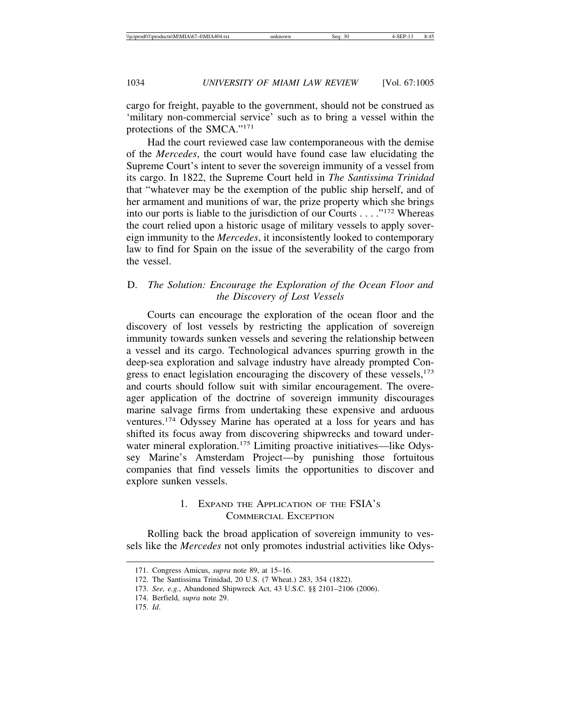cargo for freight, payable to the government, should not be construed as 'military non-commercial service' such as to bring a vessel within the protections of the SMCA."171

Had the court reviewed case law contemporaneous with the demise of the *Mercedes*, the court would have found case law elucidating the Supreme Court's intent to sever the sovereign immunity of a vessel from its cargo. In 1822, the Supreme Court held in *The Santissima Trinidad* that "whatever may be the exemption of the public ship herself, and of her armament and munitions of war, the prize property which she brings into our ports is liable to the jurisdiction of our Courts . . . ."172 Whereas the court relied upon a historic usage of military vessels to apply sovereign immunity to the *Mercedes*, it inconsistently looked to contemporary law to find for Spain on the issue of the severability of the cargo from the vessel.

# D. *The Solution: Encourage the Exploration of the Ocean Floor and the Discovery of Lost Vessels*

Courts can encourage the exploration of the ocean floor and the discovery of lost vessels by restricting the application of sovereign immunity towards sunken vessels and severing the relationship between a vessel and its cargo. Technological advances spurring growth in the deep-sea exploration and salvage industry have already prompted Congress to enact legislation encouraging the discovery of these vessels, $173$ and courts should follow suit with similar encouragement. The overeager application of the doctrine of sovereign immunity discourages marine salvage firms from undertaking these expensive and arduous ventures.174 Odyssey Marine has operated at a loss for years and has shifted its focus away from discovering shipwrecks and toward underwater mineral exploration.<sup>175</sup> Limiting proactive initiatives—like Odyssey Marine's Amsterdam Project—by punishing those fortuitous companies that find vessels limits the opportunities to discover and explore sunken vessels.

# 1. EXPAND THE APPLICATION OF THE FSIA'S COMMERCIAL EXCEPTION

Rolling back the broad application of sovereign immunity to vessels like the *Mercedes* not only promotes industrial activities like Odys-

<sup>171.</sup> Congress Amicus, *supra* note 89, at 15–16.

<sup>172.</sup> The Santissima Trinidad, 20 U.S. (7 Wheat.) 283, 354 (1822).

<sup>173.</sup> *See, e.g.*, Abandoned Shipwreck Act, 43 U.S.C. §§ 2101–2106 (2006).

<sup>174.</sup> Berfield, *supra* note 29.

<sup>175.</sup> *Id*.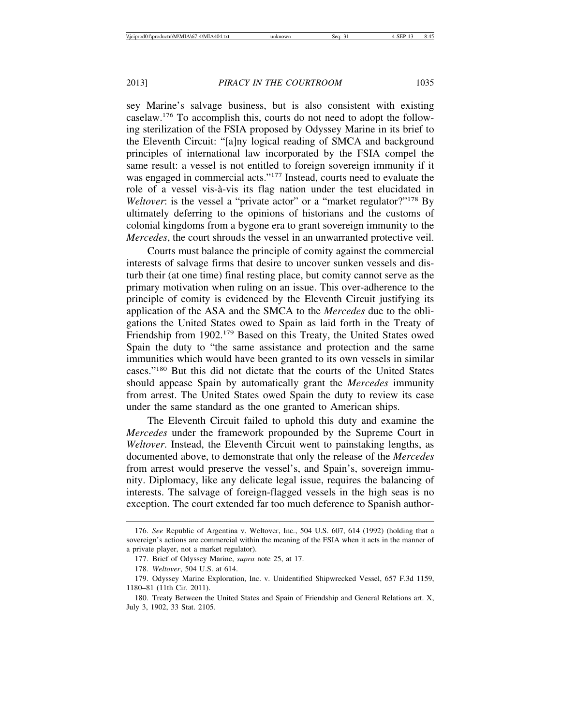sey Marine's salvage business, but is also consistent with existing caselaw.176 To accomplish this, courts do not need to adopt the following sterilization of the FSIA proposed by Odyssey Marine in its brief to the Eleventh Circuit: "[a]ny logical reading of SMCA and background principles of international law incorporated by the FSIA compel the same result: a vessel is not entitled to foreign sovereign immunity if it was engaged in commercial acts."<sup>177</sup> Instead, courts need to evaluate the role of a vessel vis-à-vis its flag nation under the test elucidated in *Weltover*: is the vessel a "private actor" or a "market regulator?"<sup>178</sup> By ultimately deferring to the opinions of historians and the customs of colonial kingdoms from a bygone era to grant sovereign immunity to the *Mercedes*, the court shrouds the vessel in an unwarranted protective veil.

Courts must balance the principle of comity against the commercial interests of salvage firms that desire to uncover sunken vessels and disturb their (at one time) final resting place, but comity cannot serve as the primary motivation when ruling on an issue. This over-adherence to the principle of comity is evidenced by the Eleventh Circuit justifying its application of the ASA and the SMCA to the *Mercedes* due to the obligations the United States owed to Spain as laid forth in the Treaty of Friendship from 1902.<sup>179</sup> Based on this Treaty, the United States owed Spain the duty to "the same assistance and protection and the same immunities which would have been granted to its own vessels in similar cases."180 But this did not dictate that the courts of the United States should appease Spain by automatically grant the *Mercedes* immunity from arrest. The United States owed Spain the duty to review its case under the same standard as the one granted to American ships.

The Eleventh Circuit failed to uphold this duty and examine the *Mercedes* under the framework propounded by the Supreme Court in *Weltover*. Instead, the Eleventh Circuit went to painstaking lengths, as documented above, to demonstrate that only the release of the *Mercedes* from arrest would preserve the vessel's, and Spain's, sovereign immunity. Diplomacy, like any delicate legal issue, requires the balancing of interests. The salvage of foreign-flagged vessels in the high seas is no exception. The court extended far too much deference to Spanish author-

<sup>176.</sup> *See* Republic of Argentina v. Weltover, Inc*.*, 504 U.S. 607, 614 (1992) (holding that a sovereign's actions are commercial within the meaning of the FSIA when it acts in the manner of a private player, not a market regulator).

<sup>177.</sup> Brief of Odyssey Marine, *supra* note 25, at 17.

<sup>178.</sup> *Weltover*, 504 U.S. at 614.

<sup>179.</sup> Odyssey Marine Exploration, Inc. v. Unidentified Shipwrecked Vessel, 657 F.3d 1159, 1180–81 (11th Cir. 2011).

<sup>180.</sup> Treaty Between the United States and Spain of Friendship and General Relations art. X, July 3, 1902, 33 Stat. 2105.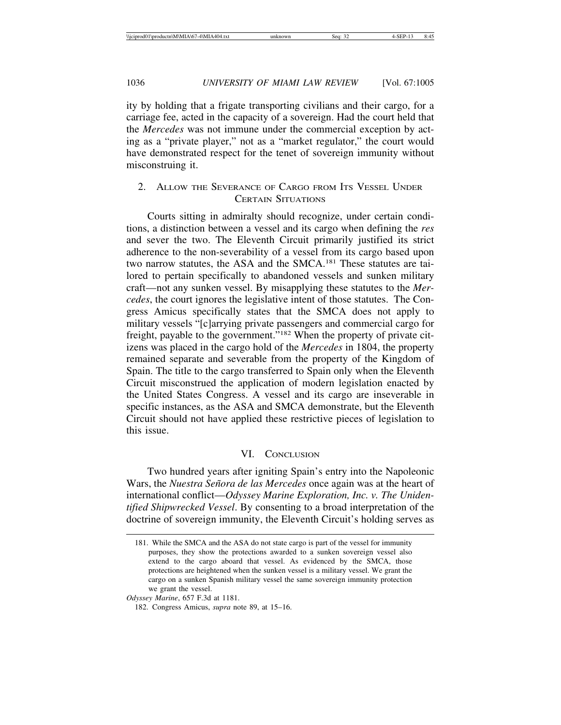ity by holding that a frigate transporting civilians and their cargo, for a carriage fee, acted in the capacity of a sovereign. Had the court held that the *Mercedes* was not immune under the commercial exception by acting as a "private player," not as a "market regulator," the court would have demonstrated respect for the tenet of sovereign immunity without misconstruing it.

# 2. ALLOW THE SEVERANCE OF CARGO FROM ITS VESSEL UNDER CERTAIN SITUATIONS

Courts sitting in admiralty should recognize, under certain conditions, a distinction between a vessel and its cargo when defining the *res* and sever the two. The Eleventh Circuit primarily justified its strict adherence to the non-severability of a vessel from its cargo based upon two narrow statutes, the ASA and the SMCA.<sup>181</sup> These statutes are tailored to pertain specifically to abandoned vessels and sunken military craft—not any sunken vessel. By misapplying these statutes to the *Mercedes*, the court ignores the legislative intent of those statutes. The Congress Amicus specifically states that the SMCA does not apply to military vessels "[c]arrying private passengers and commercial cargo for freight, payable to the government."182 When the property of private citizens was placed in the cargo hold of the *Mercedes* in 1804, the property remained separate and severable from the property of the Kingdom of Spain. The title to the cargo transferred to Spain only when the Eleventh Circuit misconstrued the application of modern legislation enacted by the United States Congress. A vessel and its cargo are inseverable in specific instances, as the ASA and SMCA demonstrate, but the Eleventh Circuit should not have applied these restrictive pieces of legislation to this issue.

# VI. CONCLUSION

Two hundred years after igniting Spain's entry into the Napoleonic Wars, the *Nuestra Se˜nora de las Mercedes* once again was at the heart of international conflict—*Odyssey Marine Exploration, Inc. v. The Unidentified Shipwrecked Vessel*. By consenting to a broad interpretation of the doctrine of sovereign immunity, the Eleventh Circuit's holding serves as

*Odyssey Marine*, 657 F.3d at 1181.

<sup>181.</sup> While the SMCA and the ASA do not state cargo is part of the vessel for immunity purposes, they show the protections awarded to a sunken sovereign vessel also extend to the cargo aboard that vessel. As evidenced by the SMCA, those protections are heightened when the sunken vessel is a military vessel. We grant the cargo on a sunken Spanish military vessel the same sovereign immunity protection we grant the vessel.

<sup>182.</sup> Congress Amicus, *supra* note 89, at 15–16.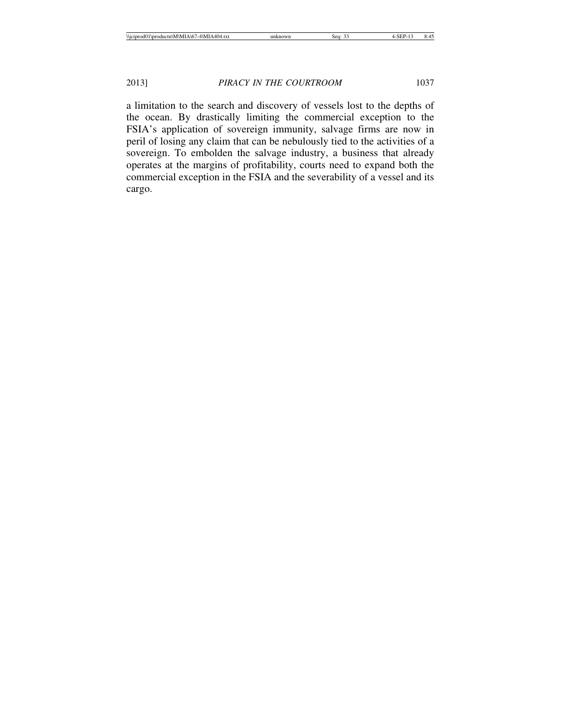a limitation to the search and discovery of vessels lost to the depths of the ocean. By drastically limiting the commercial exception to the FSIA's application of sovereign immunity, salvage firms are now in peril of losing any claim that can be nebulously tied to the activities of a sovereign. To embolden the salvage industry, a business that already operates at the margins of profitability, courts need to expand both the commercial exception in the FSIA and the severability of a vessel and its cargo.